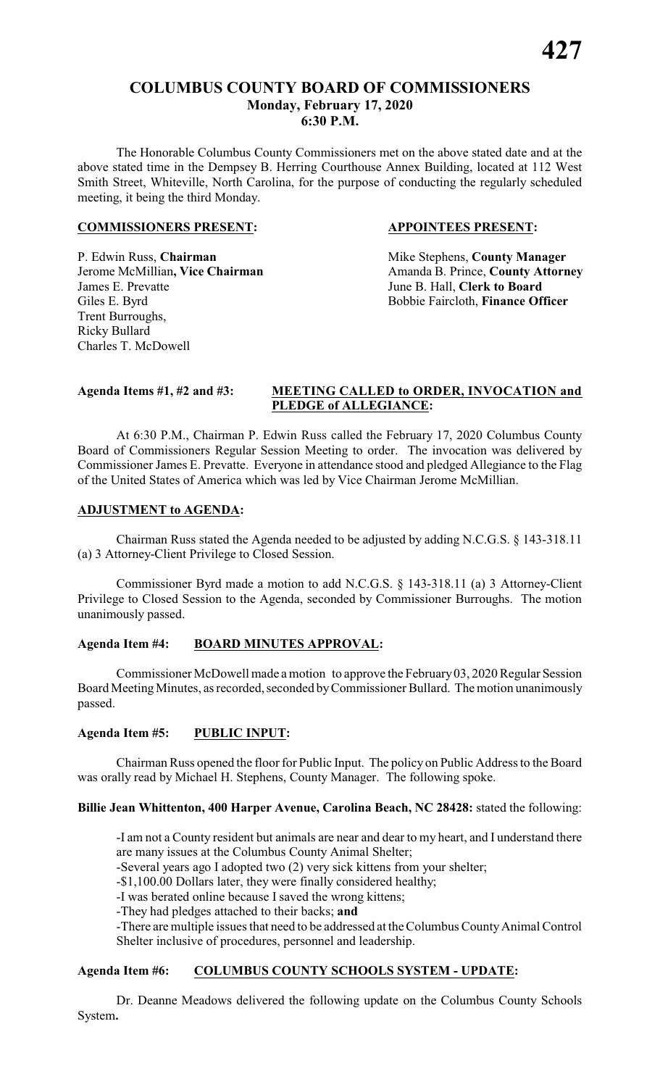#### **COLUMBUS COUNTY BOARD OF COMMISSIONERS Monday, February 17, 2020 6:30 P.M.**

The Honorable Columbus County Commissioners met on the above stated date and at the above stated time in the Dempsey B. Herring Courthouse Annex Building, located at 112 West Smith Street, Whiteville, North Carolina, for the purpose of conducting the regularly scheduled meeting, it being the third Monday.

#### **COMMISSIONERS PRESENT: APPOINTEES PRESENT:**

P. Edwin Russ, **Chairman** Mike Stephens, **County Manager** James E. Prevatte<br>
Giles E. Byrd<br>
Giles E. Byrd<br>
Giles E. Byrd<br>
Giles E. Byrd<br>
Giles E. Byrd<br>
Giles E. Byrd<br>
Giles E. Byrd<br>
Giles E. Byrd<br>
Giles E. Byrd<br>
Giles E. Byrd<br>
Giles E. Byrd<br>
Giles E. Byrd<br>
Giles E. Byrd<br>
Giles E. Trent Burroughs, Ricky Bullard Charles T. McDowell

**Jerome McMillian, Vice Chairman** Amanda B. Prince, **County Attorney** Bobbie Faircloth, **Finance Officer** 

#### **Agenda Items #1, #2 and #3: MEETING CALLED to ORDER, INVOCATION and PLEDGE of ALLEGIANCE:**

At 6:30 P.M., Chairman P. Edwin Russ called the February 17, 2020 Columbus County Board of Commissioners Regular Session Meeting to order. The invocation was delivered by Commissioner James E. Prevatte. Everyone in attendance stood and pledged Allegiance to the Flag of the United States of America which was led by Vice Chairman Jerome McMillian.

#### **ADJUSTMENT to AGENDA:**

Chairman Russ stated the Agenda needed to be adjusted by adding N.C.G.S. § 143-318.11 (a) 3 Attorney-Client Privilege to Closed Session.

Commissioner Byrd made a motion to add N.C.G.S. § 143-318.11 (a) 3 Attorney-Client Privilege to Closed Session to the Agenda, seconded by Commissioner Burroughs. The motion unanimously passed.

### **Agenda Item #4: BOARD MINUTES APPROVAL:**

Commissioner McDowell made a motion to approve the February03, 2020 Regular Session Board MeetingMinutes, as recorded, seconded byCommissioner Bullard. The motion unanimously passed.

#### **Agenda Item #5: PUBLIC INPUT:**

Chairman Russ opened the floor for Public Input. The policy on Public Address to the Board was orally read by Michael H. Stephens, County Manager. The following spoke.

### **Billie Jean Whittenton, 400 Harper Avenue, Carolina Beach, NC 28428:** stated the following:

-I am not a County resident but animals are near and dear to my heart, and I understand there are many issues at the Columbus County Animal Shelter;

-Several years ago I adopted two (2) very sick kittens from your shelter;

-\$1,100.00 Dollars later, they were finally considered healthy;

-I was berated online because I saved the wrong kittens;

-They had pledges attached to their backs; **and**

-There are multiple issues that need to be addressed at the Columbus County Animal Control Shelter inclusive of procedures, personnel and leadership.

#### **Agenda Item #6: COLUMBUS COUNTY SCHOOLS SYSTEM - UPDATE:**

Dr. Deanne Meadows delivered the following update on the Columbus County Schools System**.**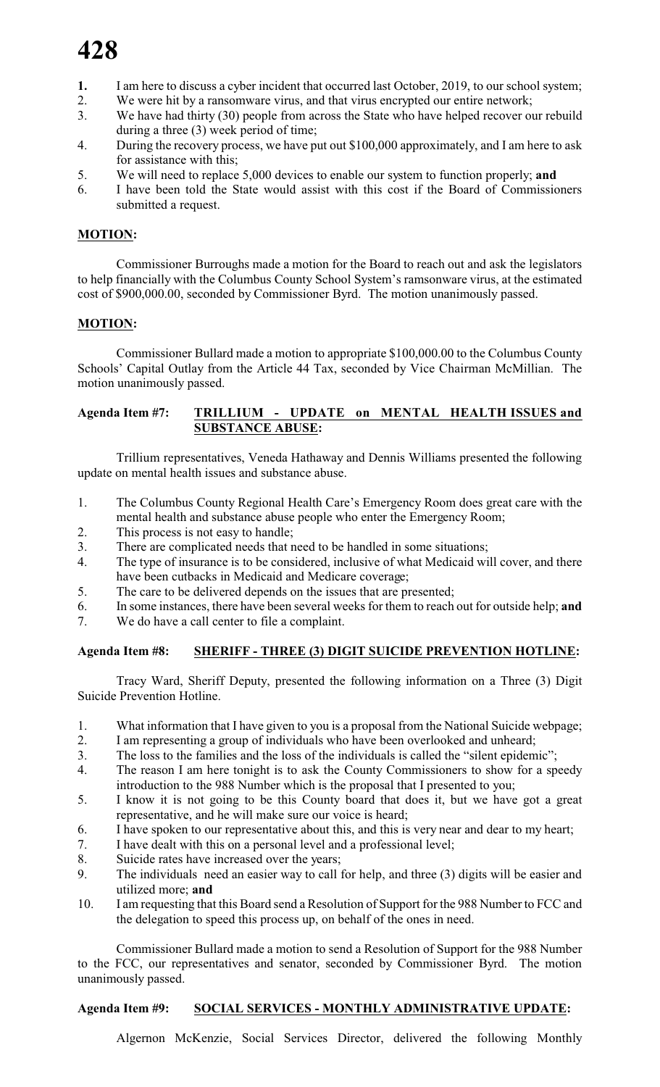- 1. I am here to discuss a cyber incident that occurred last October, 2019, to our school system;
- 2. We were hit by a ransomware virus, and that virus encrypted our entire network;
- 3. We have had thirty (30) people from across the State who have helped recover our rebuild during a three (3) week period of time;
- 4. During the recovery process, we have put out \$100,000 approximately, and I am here to ask for assistance with this;
- 5. We will need to replace 5,000 devices to enable our system to function properly; **and**
- 6. I have been told the State would assist with this cost if the Board of Commissioners submitted a request.

## **MOTION:**

Commissioner Burroughs made a motion for the Board to reach out and ask the legislators to help financially with the Columbus County School System's ramsonware virus, at the estimated cost of \$900,000.00, seconded by Commissioner Byrd. The motion unanimously passed.

## **MOTION:**

Commissioner Bullard made a motion to appropriate \$100,000.00 to the Columbus County Schools' Capital Outlay from the Article 44 Tax, seconded by Vice Chairman McMillian. The motion unanimously passed.

#### **Agenda Item #7: TRILLIUM - UPDATE on MENTAL HEALTH ISSUES and SUBSTANCE ABUSE:**

Trillium representatives, Veneda Hathaway and Dennis Williams presented the following update on mental health issues and substance abuse.

- 1. The Columbus County Regional Health Care's Emergency Room does great care with the mental health and substance abuse people who enter the Emergency Room;
- 2. This process is not easy to handle;
- 3. There are complicated needs that need to be handled in some situations;
- 4. The type of insurance is to be considered, inclusive of what Medicaid will cover, and there have been cutbacks in Medicaid and Medicare coverage;
- 5. The care to be delivered depends on the issues that are presented;
- 6. In some instances, there have been several weeks for them to reach out for outside help; **and**
- 7. We do have a call center to file a complaint.

## **Agenda Item #8: SHERIFF - THREE (3) DIGIT SUICIDE PREVENTION HOTLINE:**

Tracy Ward, Sheriff Deputy, presented the following information on a Three (3) Digit Suicide Prevention Hotline.

- 1. What information that I have given to you is a proposal from the National Suicide webpage;
- 2. I am representing a group of individuals who have been overlooked and unheard;
- 3. The loss to the families and the loss of the individuals is called the "silent epidemic";
- 4. The reason I am here tonight is to ask the County Commissioners to show for a speedy introduction to the 988 Number which is the proposal that I presented to you;
- 5. I know it is not going to be this County board that does it, but we have got a great representative, and he will make sure our voice is heard;
- 6. I have spoken to our representative about this, and this is very near and dear to my heart;
- 7. I have dealt with this on a personal level and a professional level;
- 8. Suicide rates have increased over the years;
- 9. The individuals need an easier way to call for help, and three (3) digits will be easier and utilized more; **and**
- 10. I am requesting that this Board send a Resolution of Support for the 988 Number to FCC and the delegation to speed this process up, on behalf of the ones in need.

Commissioner Bullard made a motion to send a Resolution of Support for the 988 Number to the FCC, our representatives and senator, seconded by Commissioner Byrd. The motion unanimously passed.

## **Agenda Item #9: SOCIAL SERVICES - MONTHLY ADMINISTRATIVE UPDATE:**

Algernon McKenzie, Social Services Director, delivered the following Monthly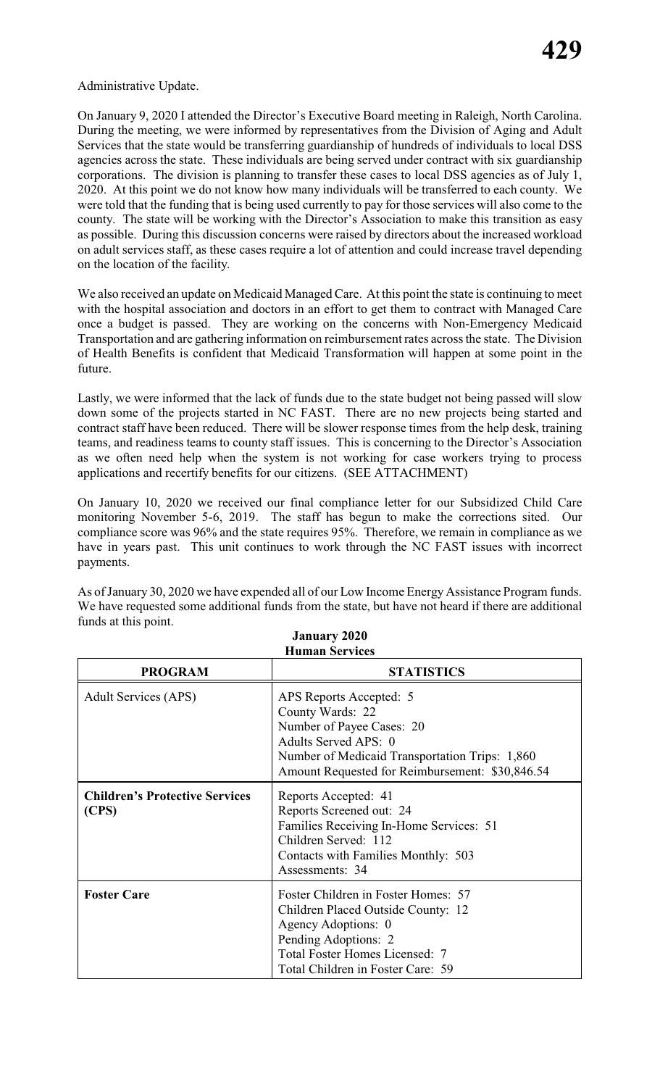Administrative Update.

On January 9, 2020 I attended the Director's Executive Board meeting in Raleigh, North Carolina. During the meeting, we were informed by representatives from the Division of Aging and Adult Services that the state would be transferring guardianship of hundreds of individuals to local DSS agencies across the state. These individuals are being served under contract with six guardianship corporations. The division is planning to transfer these cases to local DSS agencies as of July 1, 2020. At this point we do not know how many individuals will be transferred to each county. We were told that the funding that is being used currently to pay for those services will also come to the county. The state will be working with the Director's Association to make this transition as easy as possible. During this discussion concerns were raised by directors about the increased workload on adult services staff, as these cases require a lot of attention and could increase travel depending on the location of the facility.

We also received an update on Medicaid Managed Care. At this point the state is continuing to meet with the hospital association and doctors in an effort to get them to contract with Managed Care once a budget is passed. They are working on the concerns with Non-Emergency Medicaid Transportation and are gathering information on reimbursement rates across the state. The Division of Health Benefits is confident that Medicaid Transformation will happen at some point in the future.

Lastly, we were informed that the lack of funds due to the state budget not being passed will slow down some of the projects started in NC FAST. There are no new projects being started and contract staff have been reduced. There will be slower response times from the help desk, training teams, and readiness teams to county staff issues. This is concerning to the Director's Association as we often need help when the system is not working for case workers trying to process applications and recertify benefits for our citizens. (SEE ATTACHMENT)

On January 10, 2020 we received our final compliance letter for our Subsidized Child Care monitoring November 5-6, 2019. The staff has begun to make the corrections sited. Our compliance score was 96% and the state requires 95%. Therefore, we remain in compliance as we have in years past. This unit continues to work through the NC FAST issues with incorrect payments.

As of January 30, 2020 we have expended all of our Low Income Energy Assistance Program funds. We have requested some additional funds from the state, but have not heard if there are additional funds at this point. **January 2020**

| <b>Human Services</b>                          |                                                                                                                                                                                                       |  |  |
|------------------------------------------------|-------------------------------------------------------------------------------------------------------------------------------------------------------------------------------------------------------|--|--|
| <b>PROGRAM</b>                                 | <b>STATISTICS</b>                                                                                                                                                                                     |  |  |
| <b>Adult Services (APS)</b>                    | APS Reports Accepted: 5<br>County Wards: 22<br>Number of Payee Cases: 20<br>Adults Served APS: 0<br>Number of Medicaid Transportation Trips: 1,860<br>Amount Requested for Reimbursement: \$30,846.54 |  |  |
| <b>Children's Protective Services</b><br>(CPS) | Reports Accepted: 41<br>Reports Screened out: 24<br>Families Receiving In-Home Services: 51<br>Children Served: 112<br>Contacts with Families Monthly: 503<br>Assessments: 34                         |  |  |
| <b>Foster Care</b>                             | Foster Children in Foster Homes: 57<br>Children Placed Outside County: 12<br>Agency Adoptions: 0<br>Pending Adoptions: 2<br>Total Foster Homes Licensed: 7<br>Total Children in Foster Care: 59       |  |  |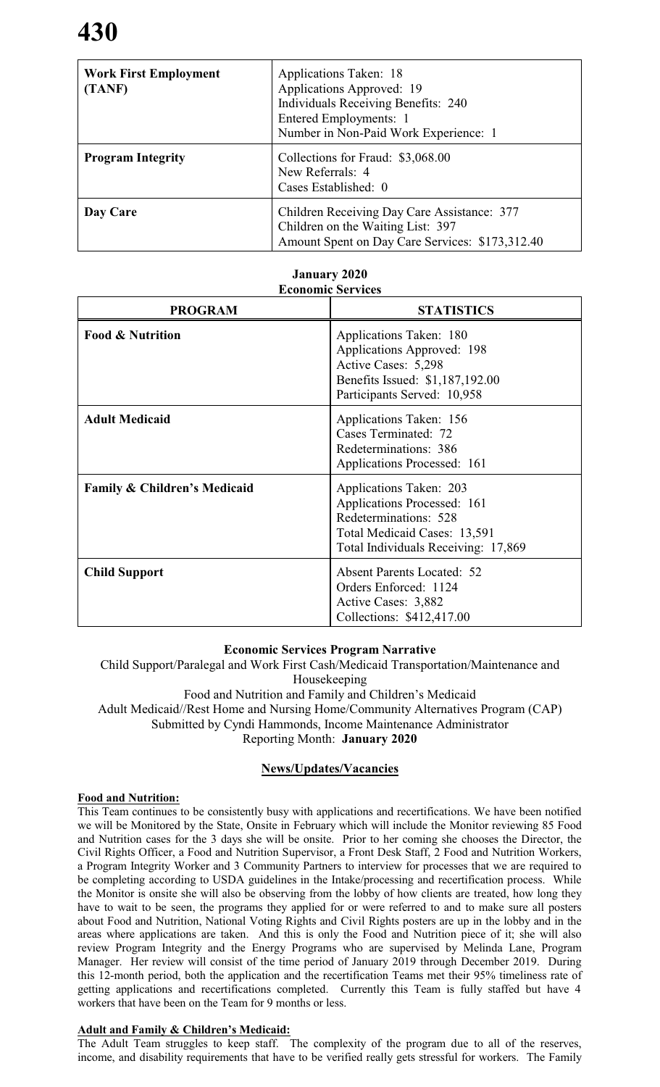| <b>Work First Employment</b><br>(TANF) | Applications Taken: 18<br>Applications Approved: 19<br><b>Individuals Receiving Benefits: 240</b><br>Entered Employments: 1<br>Number in Non-Paid Work Experience: 1 |
|----------------------------------------|----------------------------------------------------------------------------------------------------------------------------------------------------------------------|
| <b>Program Integrity</b>               | Collections for Fraud: \$3,068.00<br>New Referrals: 4<br>Cases Established: 0                                                                                        |
| Day Care                               | Children Receiving Day Care Assistance: 377<br>Children on the Waiting List: 397<br>Amount Spent on Day Care Services: \$173,312.40                                  |

#### **January 2020 Economic Services**

| <b>PROGRAM</b>                          | <b>STATISTICS</b>                                                                                                                                      |
|-----------------------------------------|--------------------------------------------------------------------------------------------------------------------------------------------------------|
| <b>Food &amp; Nutrition</b>             | Applications Taken: 180<br>Applications Approved: 198<br>Active Cases: 5,298<br>Benefits Issued: \$1,187,192.00<br>Participants Served: 10,958         |
| <b>Adult Medicaid</b>                   | Applications Taken: 156<br>Cases Terminated: 72<br>Redeterminations: 386<br>Applications Processed: 161                                                |
| <b>Family &amp; Children's Medicaid</b> | Applications Taken: 203<br>Applications Processed: 161<br>Redeterminations: 528<br>Total Medicaid Cases: 13,591<br>Total Individuals Receiving: 17,869 |
| <b>Child Support</b>                    | <b>Absent Parents Located: 52</b><br>Orders Enforced: 1124<br>Active Cases: 3,882<br>Collections: \$412,417.00                                         |

### **Economic Services Program Narrative**

Child Support/Paralegal and Work First Cash/Medicaid Transportation/Maintenance and Housekeeping Food and Nutrition and Family and Children's Medicaid Adult Medicaid//Rest Home and Nursing Home/Community Alternatives Program (CAP) Submitted by Cyndi Hammonds, Income Maintenance Administrator Reporting Month: **January 2020**

### **News/Updates/Vacancies**

#### **Food and Nutrition:**

This Team continues to be consistently busy with applications and recertifications. We have been notified we will be Monitored by the State, Onsite in February which will include the Monitor reviewing 85 Food and Nutrition cases for the 3 days she will be onsite. Prior to her coming she chooses the Director, the Civil Rights Officer, a Food and Nutrition Supervisor, a Front Desk Staff, 2 Food and Nutrition Workers, a Program Integrity Worker and 3 Community Partners to interview for processes that we are required to be completing according to USDA guidelines in the Intake/processing and recertification process. While the Monitor is onsite she will also be observing from the lobby of how clients are treated, how long they have to wait to be seen, the programs they applied for or were referred to and to make sure all posters about Food and Nutrition, National Voting Rights and Civil Rights posters are up in the lobby and in the areas where applications are taken. And this is only the Food and Nutrition piece of it; she will also review Program Integrity and the Energy Programs who are supervised by Melinda Lane, Program Manager. Her review will consist of the time period of January 2019 through December 2019. During this 12-month period, both the application and the recertification Teams met their 95% timeliness rate of getting applications and recertifications completed. Currently this Team is fully staffed but have 4 workers that have been on the Team for 9 months or less.

#### **Adult and Family & Children's Medicaid:**

The Adult Team struggles to keep staff. The complexity of the program due to all of the reserves, income, and disability requirements that have to be verified really gets stressful for workers. The Family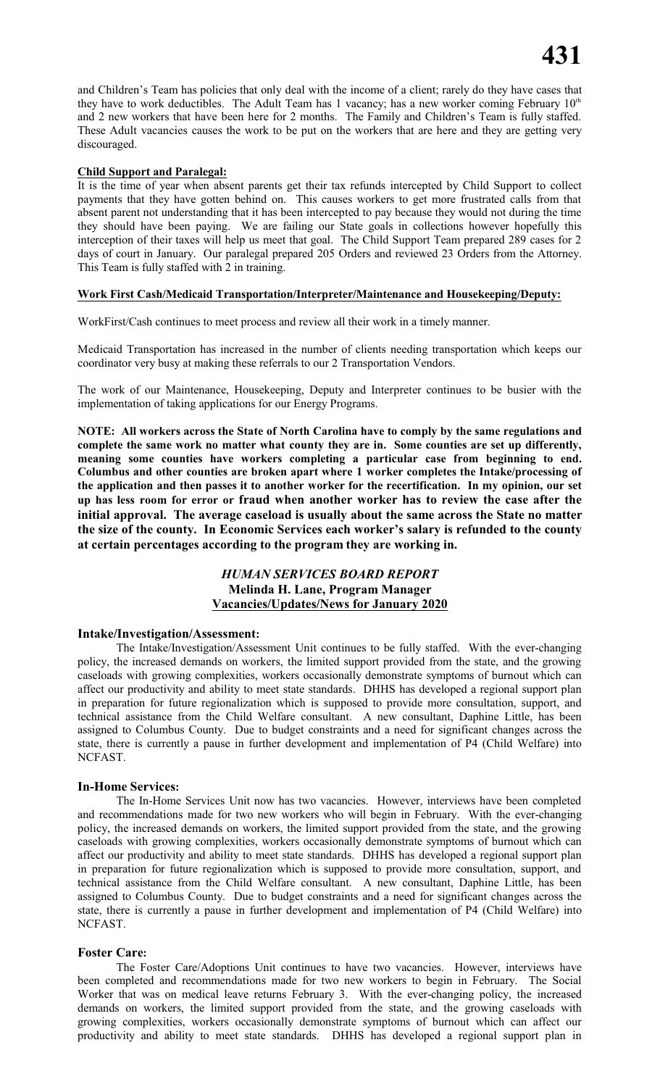and Children's Team has policies that only deal with the income of a client; rarely do they have cases that they have to work deductibles. The Adult Team has 1 vacancy; has a new worker coming February 10<sup>th</sup> and 2 new workers that have been here for 2 months. The Family and Children's Team is fully staffed. These Adult vacancies causes the work to be put on the workers that are here and they are getting very discouraged.

#### **Child Support and Paralegal:**

It is the time of year when absent parents get their tax refunds intercepted by Child Support to collect payments that they have gotten behind on. This causes workers to get more frustrated calls from that absent parent not understanding that it has been intercepted to pay because they would not during the time they should have been paying. We are failing our State goals in collections however hopefully this interception of their taxes will help us meet that goal. The Child Support Team prepared 289 cases for 2 days of court in January. Our paralegal prepared 205 Orders and reviewed 23 Orders from the Attorney. This Team is fully staffed with 2 in training.

#### **Work First Cash/Medicaid Transportation/Interpreter/Maintenance and Housekeeping/Deputy:**

WorkFirst/Cash continues to meet process and review all their work in a timely manner.

Medicaid Transportation has increased in the number of clients needing transportation which keeps our coordinator very busy at making these referrals to our 2 Transportation Vendors.

The work of our Maintenance, Housekeeping, Deputy and Interpreter continues to be busier with the implementation of taking applications for our Energy Programs.

**NOTE: All workers across the State of North Carolina have to comply by the same regulations and complete the same work no matter what county they are in. Some counties are set up differently, meaning some counties have workers completing a particular case from beginning to end. Columbus and other counties are broken apart where 1 worker completes the Intake/processing of the application and then passes it to another worker for the recertification. In my opinion, our set up has less room for error or fraud when another worker has to review the case after the initial approval. The average caseload is usually about the same across the State no matter the size of the county. In Economic Services each worker's salary is refunded to the county at certain percentages according to the program they are working in.** 

#### *HUMAN SERVICES BOARD REPORT* **Melinda H. Lane, Program Manager Vacancies/Updates/News for January 2020**

#### **Intake/Investigation/Assessment:**

The Intake/Investigation/Assessment Unit continues to be fully staffed. With the ever-changing policy, the increased demands on workers, the limited support provided from the state, and the growing caseloads with growing complexities, workers occasionally demonstrate symptoms of burnout which can affect our productivity and ability to meet state standards. DHHS has developed a regional support plan in preparation for future regionalization which is supposed to provide more consultation, support, and technical assistance from the Child Welfare consultant. A new consultant, Daphine Little, has been assigned to Columbus County. Due to budget constraints and a need for significant changes across the state, there is currently a pause in further development and implementation of P4 (Child Welfare) into NCFAST.

#### **In-Home Services:**

The In-Home Services Unit now has two vacancies. However, interviews have been completed and recommendations made for two new workers who will begin in February. With the ever-changing policy, the increased demands on workers, the limited support provided from the state, and the growing caseloads with growing complexities, workers occasionally demonstrate symptoms of burnout which can affect our productivity and ability to meet state standards. DHHS has developed a regional support plan in preparation for future regionalization which is supposed to provide more consultation, support, and technical assistance from the Child Welfare consultant. A new consultant, Daphine Little, has been assigned to Columbus County. Due to budget constraints and a need for significant changes across the state, there is currently a pause in further development and implementation of P4 (Child Welfare) into NCFAST.

#### **Foster Care:**

The Foster Care/Adoptions Unit continues to have two vacancies. However, interviews have been completed and recommendations made for two new workers to begin in February. The Social Worker that was on medical leave returns February 3. With the ever-changing policy, the increased demands on workers, the limited support provided from the state, and the growing caseloads with growing complexities, workers occasionally demonstrate symptoms of burnout which can affect our productivity and ability to meet state standards. DHHS has developed a regional support plan in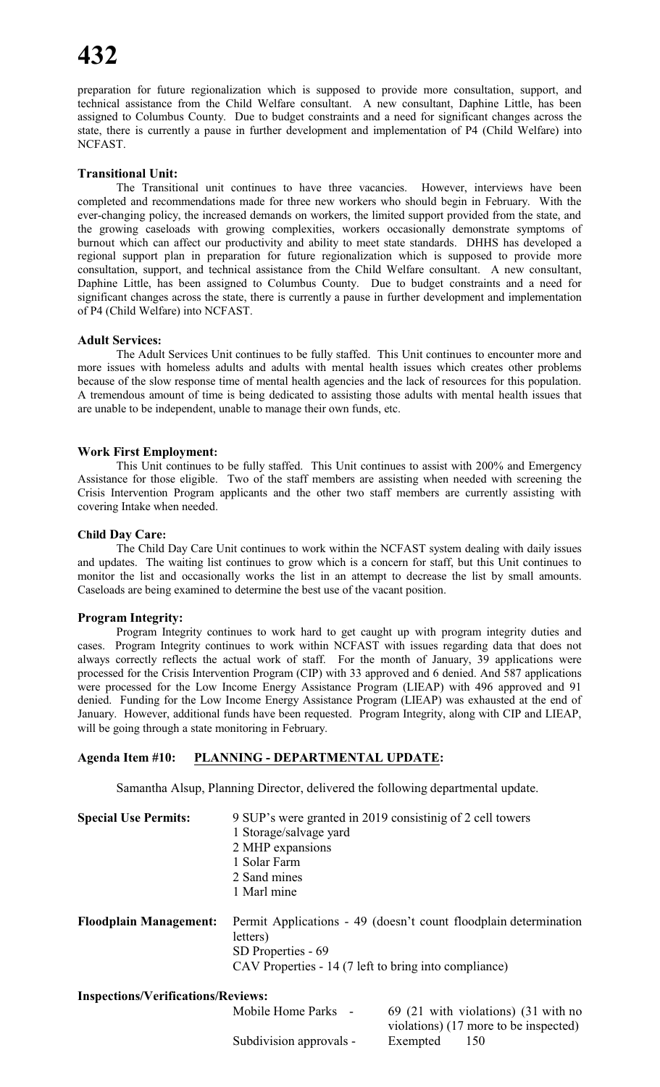preparation for future regionalization which is supposed to provide more consultation, support, and technical assistance from the Child Welfare consultant. A new consultant, Daphine Little, has been assigned to Columbus County. Due to budget constraints and a need for significant changes across the state, there is currently a pause in further development and implementation of P4 (Child Welfare) into NCFAST.

#### **Transitional Unit:**

The Transitional unit continues to have three vacancies. However, interviews have been completed and recommendations made for three new workers who should begin in February. With the ever-changing policy, the increased demands on workers, the limited support provided from the state, and the growing caseloads with growing complexities, workers occasionally demonstrate symptoms of burnout which can affect our productivity and ability to meet state standards. DHHS has developed a regional support plan in preparation for future regionalization which is supposed to provide more consultation, support, and technical assistance from the Child Welfare consultant. A new consultant, Daphine Little, has been assigned to Columbus County. Due to budget constraints and a need for significant changes across the state, there is currently a pause in further development and implementation of P4 (Child Welfare) into NCFAST.

#### **Adult Services:**

The Adult Services Unit continues to be fully staffed. This Unit continues to encounter more and more issues with homeless adults and adults with mental health issues which creates other problems because of the slow response time of mental health agencies and the lack of resources for this population. A tremendous amount of time is being dedicated to assisting those adults with mental health issues that are unable to be independent, unable to manage their own funds, etc.

#### **Work First Employment:**

This Unit continues to be fully staffed. This Unit continues to assist with 200% and Emergency Assistance for those eligible. Two of the staff members are assisting when needed with screening the Crisis Intervention Program applicants and the other two staff members are currently assisting with covering Intake when needed.

#### **Child Day Care:**

The Child Day Care Unit continues to work within the NCFAST system dealing with daily issues and updates. The waiting list continues to grow which is a concern for staff, but this Unit continues to monitor the list and occasionally works the list in an attempt to decrease the list by small amounts. Caseloads are being examined to determine the best use of the vacant position.

#### **Program Integrity:**

Program Integrity continues to work hard to get caught up with program integrity duties and cases. Program Integrity continues to work within NCFAST with issues regarding data that does not always correctly reflects the actual work of staff. For the month of January, 39 applications were processed for the Crisis Intervention Program (CIP) with 33 approved and 6 denied. And 587 applications were processed for the Low Income Energy Assistance Program (LIEAP) with 496 approved and 91 denied. Funding for the Low Income Energy Assistance Program (LIEAP) was exhausted at the end of January. However, additional funds have been requested. Program Integrity, along with CIP and LIEAP, will be going through a state monitoring in February.

#### **Agenda Item #10: PLANNING - DEPARTMENTAL UPDATE:**

Samantha Alsup, Planning Director, delivered the following departmental update.

| <b>Special Use Permits:</b>               | 9 SUP's were granted in 2019 consistinig of 2 cell towers<br>1 Storage/salvage yard<br>2 MHP expansions<br>1 Solar Farm                                     |
|-------------------------------------------|-------------------------------------------------------------------------------------------------------------------------------------------------------------|
|                                           | 2 Sand mines<br>1 Marl mine                                                                                                                                 |
| <b>Floodplain Management:</b>             | Permit Applications - 49 (doesn't count floodplain determination<br>letters)<br>SD Properties - 69<br>CAV Properties - 14 (7 left to bring into compliance) |
| <b>Inspections/Verifications/Reviews:</b> |                                                                                                                                                             |

Mobile Home Parks - 69 (21 with violations) (31 with no violations) (17 more to be inspected) Subdivision approvals - Exempted 150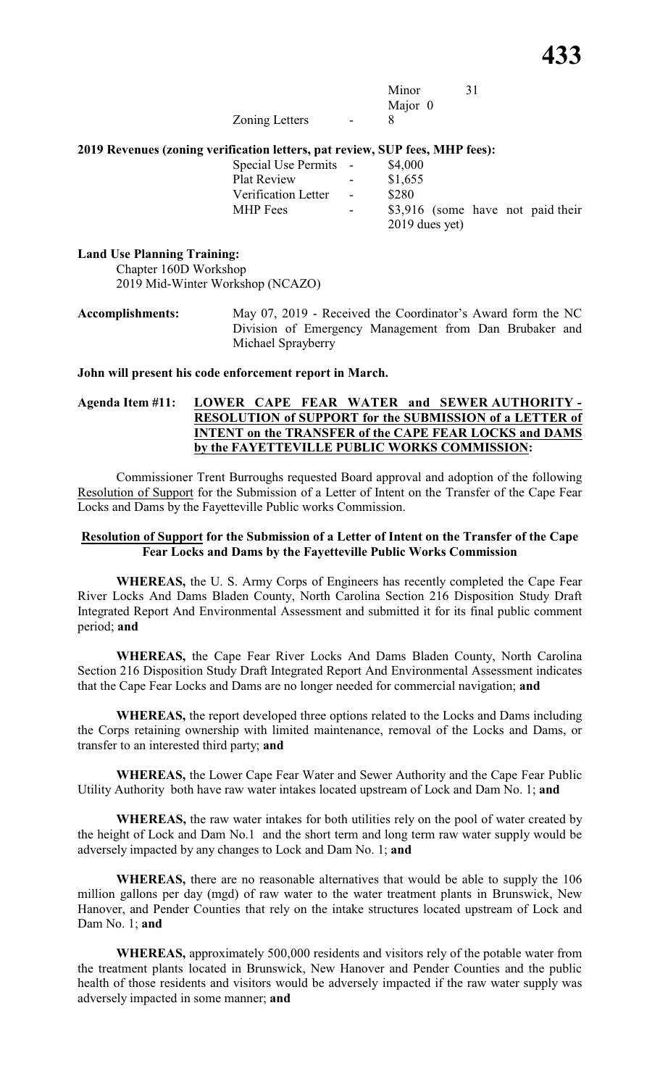|                       |                          | Minor   | 31 |
|-----------------------|--------------------------|---------|----|
|                       |                          | Major 0 |    |
| <b>Zoning Letters</b> | $\overline{\phantom{0}}$ |         |    |

#### **2019 Revenues (zoning verification letters, pat review, SUP fees, MHP fees):**

| Special Use Permits - |                          | \$4,000                           |
|-----------------------|--------------------------|-----------------------------------|
| <b>Plat Review</b>    | $\sim$                   | \$1,655                           |
| Verification Letter   | <b>Contract Contract</b> | \$280                             |
| <b>MHP</b> Fees       | $\sim$                   | \$3,916 (some have not paid their |
|                       |                          | $2019$ dues yet)                  |

#### **Land Use Planning Training:**

Chapter 160D Workshop 2019 Mid-Winter Workshop (NCAZO)

**Accomplishments:** May 07, 2019 - Received the Coordinator's Award form the NC Division of Emergency Management from Dan Brubaker and Michael Sprayberry

#### **John will present his code enforcement report in March.**

#### **Agenda Item #11: LOWER CAPE FEAR WATER and SEWER AUTHORITY - RESOLUTION of SUPPORT for the SUBMISSION of a LETTER of INTENT on the TRANSFER of the CAPE FEAR LOCKS and DAMS by the FAYETTEVILLE PUBLIC WORKS COMMISSION:**

Commissioner Trent Burroughs requested Board approval and adoption of the following Resolution of Support for the Submission of a Letter of Intent on the Transfer of the Cape Fear Locks and Dams by the Fayetteville Public works Commission.

#### **Resolution of Support for the Submission of a Letter of Intent on the Transfer of the Cape Fear Locks and Dams by the Fayetteville Public Works Commission**

**WHEREAS,** the U. S. Army Corps of Engineers has recently completed the Cape Fear River Locks And Dams Bladen County, North Carolina Section 216 Disposition Study Draft Integrated Report And Environmental Assessment and submitted it for its final public comment period; **and**

**WHEREAS,** the Cape Fear River Locks And Dams Bladen County, North Carolina Section 216 Disposition Study Draft Integrated Report And Environmental Assessment indicates that the Cape Fear Locks and Dams are no longer needed for commercial navigation; **and**

**WHEREAS,** the report developed three options related to the Locks and Dams including the Corps retaining ownership with limited maintenance, removal of the Locks and Dams, or transfer to an interested third party; **and**

**WHEREAS,** the Lower Cape Fear Water and Sewer Authority and the Cape Fear Public Utility Authority both have raw water intakes located upstream of Lock and Dam No. 1; **and**

**WHEREAS,** the raw water intakes for both utilities rely on the pool of water created by the height of Lock and Dam No.1 and the short term and long term raw water supply would be adversely impacted by any changes to Lock and Dam No. 1; **and**

**WHEREAS,** there are no reasonable alternatives that would be able to supply the 106 million gallons per day (mgd) of raw water to the water treatment plants in Brunswick, New Hanover, and Pender Counties that rely on the intake structures located upstream of Lock and Dam No. 1; **and**

**WHEREAS,** approximately 500,000 residents and visitors rely of the potable water from the treatment plants located in Brunswick, New Hanover and Pender Counties and the public health of those residents and visitors would be adversely impacted if the raw water supply was adversely impacted in some manner; **and**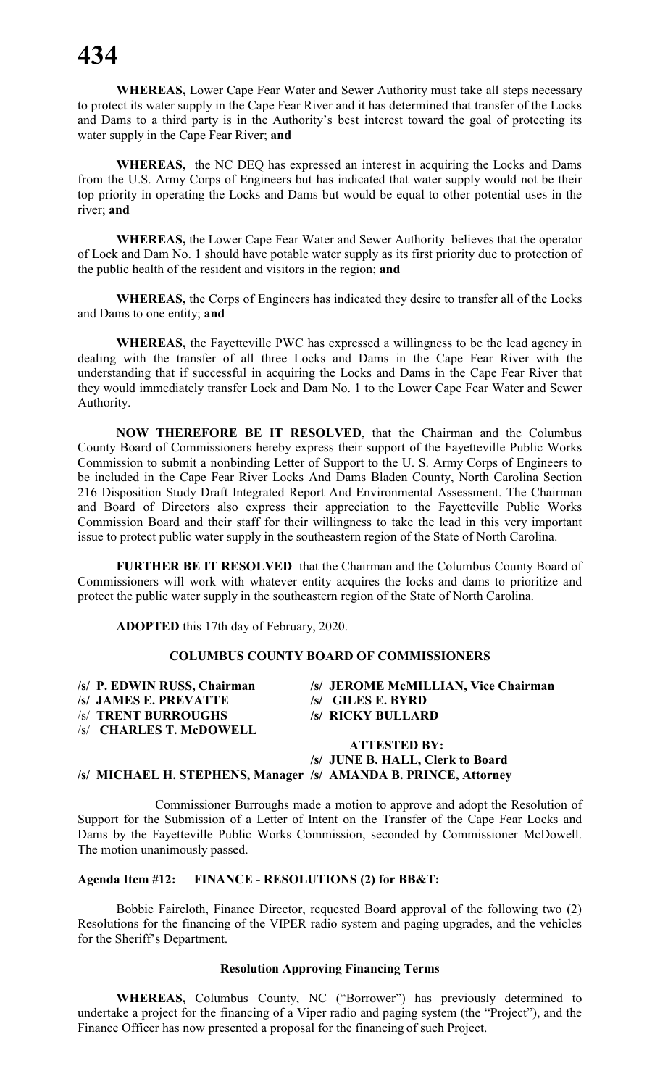**WHEREAS,** Lower Cape Fear Water and Sewer Authority must take all steps necessary to protect its water supply in the Cape Fear River and it has determined that transfer of the Locks and Dams to a third party is in the Authority's best interest toward the goal of protecting its water supply in the Cape Fear River; **and**

**WHEREAS,** the NC DEQ has expressed an interest in acquiring the Locks and Dams from the U.S. Army Corps of Engineers but has indicated that water supply would not be their top priority in operating the Locks and Dams but would be equal to other potential uses in the river; **and**

**WHEREAS,** the Lower Cape Fear Water and Sewer Authority believes that the operator of Lock and Dam No. 1 should have potable water supply as its first priority due to protection of the public health of the resident and visitors in the region; **and**

**WHEREAS,** the Corps of Engineers has indicated they desire to transfer all of the Locks and Dams to one entity; **and**

**WHEREAS,** the Fayetteville PWC has expressed a willingness to be the lead agency in dealing with the transfer of all three Locks and Dams in the Cape Fear River with the understanding that if successful in acquiring the Locks and Dams in the Cape Fear River that they would immediately transfer Lock and Dam No. 1 to the Lower Cape Fear Water and Sewer Authority.

**NOW THEREFORE BE IT RESOLVED**, that the Chairman and the Columbus County Board of Commissioners hereby express their support of the Fayetteville Public Works Commission to submit a nonbinding Letter of Support to the U. S. Army Corps of Engineers to be included in the Cape Fear River Locks And Dams Bladen County, North Carolina Section 216 Disposition Study Draft Integrated Report And Environmental Assessment. The Chairman and Board of Directors also express their appreciation to the Fayetteville Public Works Commission Board and their staff for their willingness to take the lead in this very important issue to protect public water supply in the southeastern region of the State of North Carolina.

**FURTHER BE IT RESOLVED** that the Chairman and the Columbus County Board of Commissioners will work with whatever entity acquires the locks and dams to prioritize and protect the public water supply in the southeastern region of the State of North Carolina.

**ADOPTED** this 17th day of February, 2020.

#### **COLUMBUS COUNTY BOARD OF COMMISSIONERS**

| /s/ P. EDWIN RUSS, Chairman | /s/ JEROME McMILLIAN, Vice Chairman |
|-----------------------------|-------------------------------------|
| /s/ JAMES E. PREVATTE       | $\sqrt{s}$ GILES E. BYRD            |
| /s/ TRENT BURROUGHS         | /s/ RICKY BULLARD                   |
| /s/ CHARLES T. McDOWELL     |                                     |
|                             | <b>ATTESTED BY:</b>                 |
|                             | _______ ________                    |

#### **/s/ JUNE B. HALL, Clerk to Board /s/ MICHAEL H. STEPHENS, Manager /s/ AMANDA B. PRINCE, Attorney**

Commissioner Burroughs made a motion to approve and adopt the Resolution of Support for the Submission of a Letter of Intent on the Transfer of the Cape Fear Locks and Dams by the Fayetteville Public Works Commission, seconded by Commissioner McDowell. The motion unanimously passed.

#### **Agenda Item #12: FINANCE - RESOLUTIONS (2) for BB&T:**

Bobbie Faircloth, Finance Director, requested Board approval of the following two (2) Resolutions for the financing of the VIPER radio system and paging upgrades, and the vehicles for the Sheriff's Department.

#### **Resolution Approving Financing Terms**

**WHEREAS,** Columbus County, NC ("Borrower") has previously determined to undertake a project for the financing of a Viper radio and paging system (the "Project"), and the Finance Officer has now presented a proposal for the financing of such Project.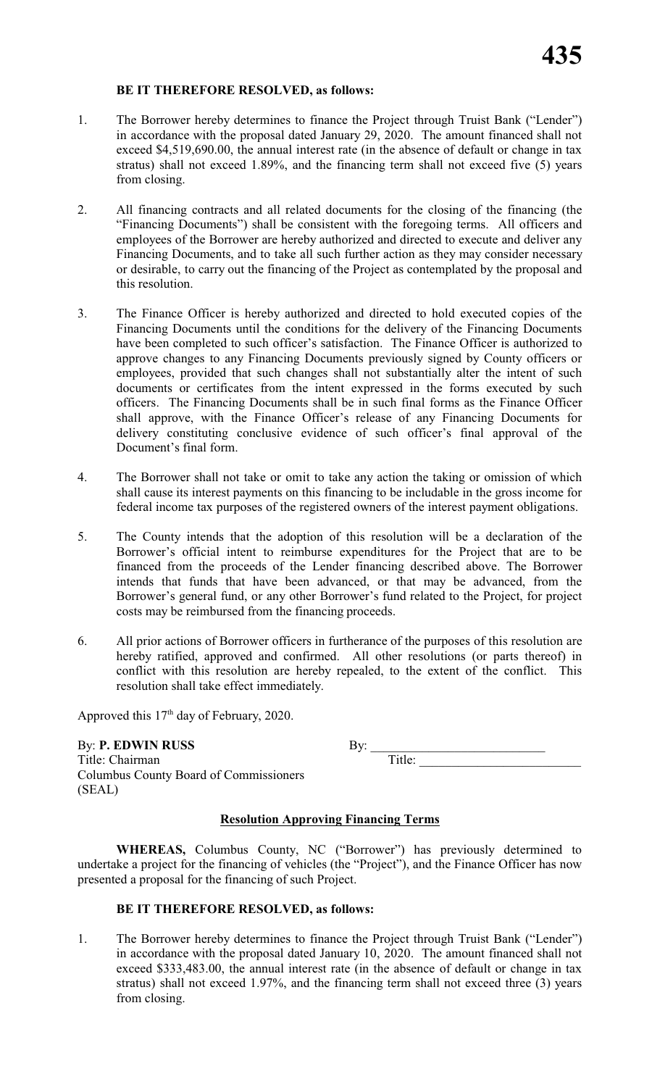#### **BE IT THEREFORE RESOLVED, as follows:**

- 1. The Borrower hereby determines to finance the Project through Truist Bank ("Lender") in accordance with the proposal dated January 29, 2020. The amount financed shall not exceed \$4,519,690.00, the annual interest rate (in the absence of default or change in tax stratus) shall not exceed 1.89%, and the financing term shall not exceed five (5) years from closing.
- 2. All financing contracts and all related documents for the closing of the financing (the "Financing Documents") shall be consistent with the foregoing terms. All officers and employees of the Borrower are hereby authorized and directed to execute and deliver any Financing Documents, and to take all such further action as they may consider necessary or desirable, to carry out the financing of the Project as contemplated by the proposal and this resolution.
- 3. The Finance Officer is hereby authorized and directed to hold executed copies of the Financing Documents until the conditions for the delivery of the Financing Documents have been completed to such officer's satisfaction. The Finance Officer is authorized to approve changes to any Financing Documents previously signed by County officers or employees, provided that such changes shall not substantially alter the intent of such documents or certificates from the intent expressed in the forms executed by such officers. The Financing Documents shall be in such final forms as the Finance Officer shall approve, with the Finance Officer's release of any Financing Documents for delivery constituting conclusive evidence of such officer's final approval of the Document's final form.
- 4. The Borrower shall not take or omit to take any action the taking or omission of which shall cause its interest payments on this financing to be includable in the gross income for federal income tax purposes of the registered owners of the interest payment obligations.
- 5. The County intends that the adoption of this resolution will be a declaration of the Borrower's official intent to reimburse expenditures for the Project that are to be financed from the proceeds of the Lender financing described above. The Borrower intends that funds that have been advanced, or that may be advanced, from the Borrower's general fund, or any other Borrower's fund related to the Project, for project costs may be reimbursed from the financing proceeds.
- 6. All prior actions of Borrower officers in furtherance of the purposes of this resolution are hereby ratified, approved and confirmed. All other resolutions (or parts thereof) in conflict with this resolution are hereby repealed, to the extent of the conflict. This resolution shall take effect immediately.

Approved this  $17<sup>th</sup>$  day of February, 2020.

By: **P. EDWIN RUSS** Title: Chairman Columbus County Board of Commissioners (SEAL)

#### **Resolution Approving Financing Terms**

**WHEREAS,** Columbus County, NC ("Borrower") has previously determined to undertake a project for the financing of vehicles (the "Project"), and the Finance Officer has now presented a proposal for the financing of such Project.

#### **BE IT THEREFORE RESOLVED, as follows:**

1. The Borrower hereby determines to finance the Project through Truist Bank ("Lender") in accordance with the proposal dated January 10, 2020. The amount financed shall not exceed \$333,483.00, the annual interest rate (in the absence of default or change in tax stratus) shall not exceed 1.97%, and the financing term shall not exceed three (3) years from closing.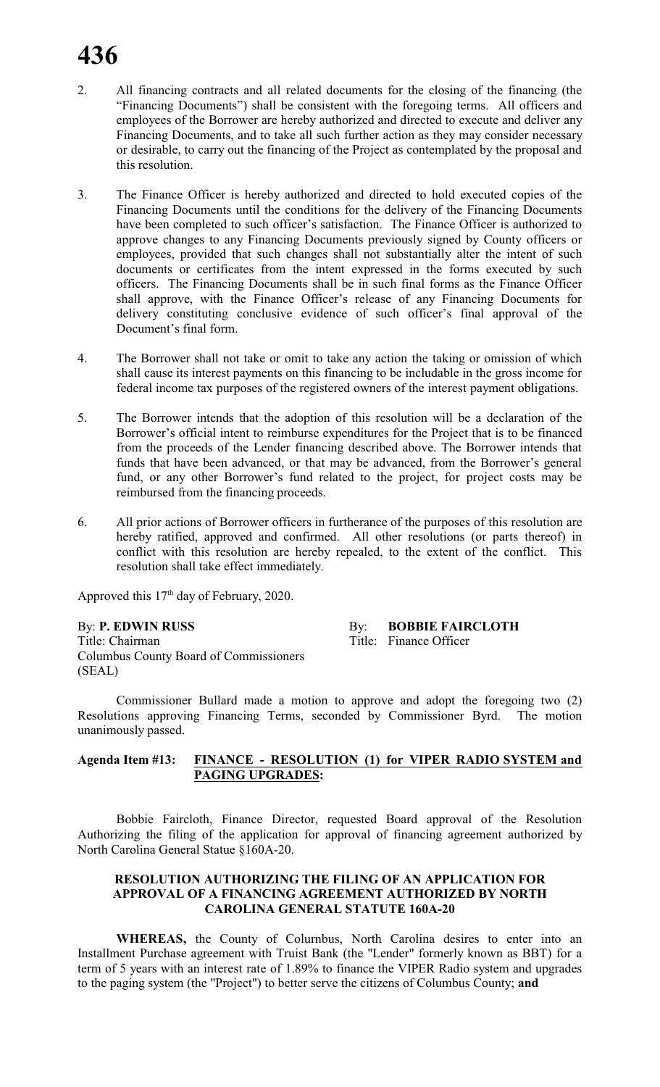- 2. All financing contracts and all related documents for the closing of the financing (the "Financing Documents") shall be consistent with the foregoing terms. All officers and employees of the Borrower are hereby authorized and directed to execute and deliver any Financing Documents, and to take all such further action as they may consider necessary or desirable, to carry out the financing of the Project as contemplated by the proposal and this resolution.
- 3. The Finance Officer is hereby authorized and directed to hold executed copies of the Financing Documents until the conditions for the delivery of the Financing Documents have been completed to such officer's satisfaction. The Finance Officer is authorized to approve changes to any Financing Documents previously signed by County officers or employees, provided that such changes shall not substantially alter the intent of such documents or certificates from the intent expressed in the forms executed by such officers. The Financing Documents shall be in such final forms as the Finance Officer shall approve, with the Finance Officer's release of any Financing Documents for delivery constituting conclusive evidence of such officer's final approval of the Document's final form.
- 4. The Borrower shall not take or omit to take any action the taking or omission of which shall cause its interest payments on this financing to be includable in the gross income for federal income tax purposes of the registered owners of the interest payment obligations.
- 5. The Borrower intends that the adoption of this resolution will be a declaration of the Borrower's official intent to reimburse expenditures for the Project that is to be financed from the proceeds of the Lender financing described above. The Borrower intends that funds that have been advanced, or that may be advanced, from the Borrower's general fund, or any other Borrower's fund related to the project, for project costs may be reimbursed from the financing proceeds.
- 6. All prior actions of Borrower officers in furtherance of the purposes of this resolution are hereby ratified, approved and confirmed. All other resolutions (or parts thereof) in conflict with this resolution are hereby repealed, to the extent of the conflict. This resolution shall take effect immediately.

Approved this 17<sup>th</sup> day of February, 2020.

By: **P. EDWIN RUSS** By: **BOBBIE FAIRCLOTH** Title: Chairman Title: Finance Officer Columbus County Board of Commissioners (SEAL)

Commissioner Bullard made a motion to approve and adopt the foregoing two (2) Resolutions approving Financing Terms, seconded by Commissioner Byrd. The motion unanimously passed.

#### **Agenda Item #13: FINANCE - RESOLUTION (1) for VIPER RADIO SYSTEM and PAGING UPGRADES:**

Bobbie Faircloth, Finance Director, requested Board approval of the Resolution Authorizing the filing of the application for approval of financing agreement authorized by North Carolina General Statue §160A-20.

#### **RESOLUTION AUTHORIZING THE FILING OF AN APPLICATION FOR APPROVAL OF A FINANCING AGREEMENT AUTHORIZED BY NORTH CAROLINA GENERAL STATUTE 160A-20**

**WHEREAS,** the County of Colurnbus, North Carolina desires to enter into an Installment Purchase agreement with Truist Bank (the "Lender" formerly known as BBT) for a term of 5 years with an interest rate of 1.89% to finance the VIPER Radio system and upgrades to the paging system (the "Project") to better serve the citizens of Columbus County; **and**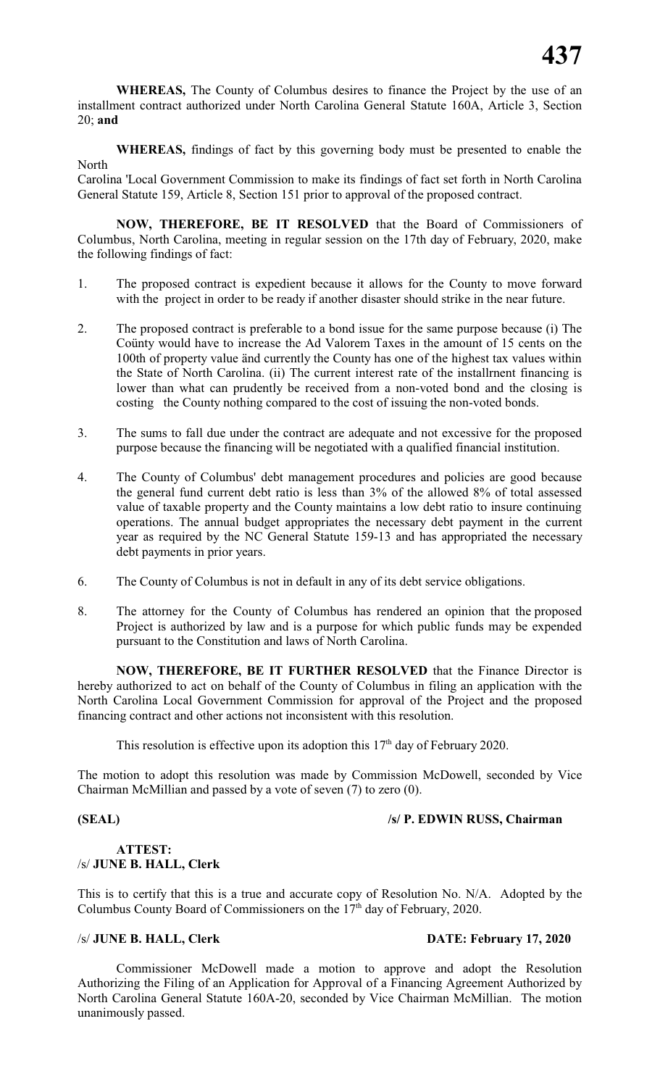**WHEREAS,** The County of Columbus desires to finance the Project by the use of an installment contract authorized under North Carolina General Statute 160A, Article 3, Section 20; **and**

**WHEREAS,** findings of fact by this governing body must be presented to enable the North

Carolina 'Local Government Commission to make its findings of fact set forth in North Carolina General Statute 159, Article 8, Section 151 prior to approval of the proposed contract.

**NOW, THEREFORE, BE IT RESOLVED** that the Board of Commissioners of Columbus, North Carolina, meeting in regular session on the 17th day of February, 2020, make the following findings of fact:

- 1. The proposed contract is expedient because it allows for the County to move forward with the project in order to be ready if another disaster should strike in the near future.
- 2. The proposed contract is preferable to a bond issue for the same purpose because (i) The Coünty would have to increase the Ad Valorem Taxes in the amount of 15 cents on the 100th of property value änd currently the County has one of the highest tax values within the State of North Carolina. (ii) The current interest rate of the installrnent financing is lower than what can prudently be received from a non-voted bond and the closing is costing the County nothing compared to the cost of issuing the non-voted bonds.
- 3. The sums to fall due under the contract are adequate and not excessive for the proposed purpose because the financing will be negotiated with a qualified financial institution.
- 4. The County of Columbus' debt management procedures and policies are good because the general fund current debt ratio is less than 3% of the allowed 8% of total assessed value of taxable property and the County maintains a low debt ratio to insure continuing operations. The annual budget appropriates the necessary debt payment in the current year as required by the NC General Statute 159-13 and has appropriated the necessary debt payments in prior years.
- 6. The County of Columbus is not in default in any of its debt service obligations.
- 8. The attorney for the County of Columbus has rendered an opinion that the proposed Project is authorized by law and is a purpose for which public funds may be expended pursuant to the Constitution and laws of North Carolina.

**NOW, THEREFORE, BE IT FURTHER RESOLVED** that the Finance Director is hereby authorized to act on behalf of the County of Columbus in filing an application with the North Carolina Local Government Commission for approval of the Project and the proposed financing contract and other actions not inconsistent with this resolution.

This resolution is effective upon its adoption this  $17<sup>th</sup>$  day of February 2020.

The motion to adopt this resolution was made by Commission McDowell, seconded by Vice Chairman McMillian and passed by a vote of seven (7) to zero (0).

### **(SEAL) /s/ P. EDWIN RUSS, Chairman**

### **ATTEST:** /s/ **JUNE B. HALL, Clerk**

This is to certify that this is a true and accurate copy of Resolution No. N/A. Adopted by the Columbus County Board of Commissioners on the  $17<sup>th</sup>$  day of February, 2020.

#### /s/ **JUNE B. HALL, Clerk DATE: February 17, 2020**

Commissioner McDowell made a motion to approve and adopt the Resolution Authorizing the Filing of an Application for Approval of a Financing Agreement Authorized by North Carolina General Statute 160A-20, seconded by Vice Chairman McMillian. The motion unanimously passed.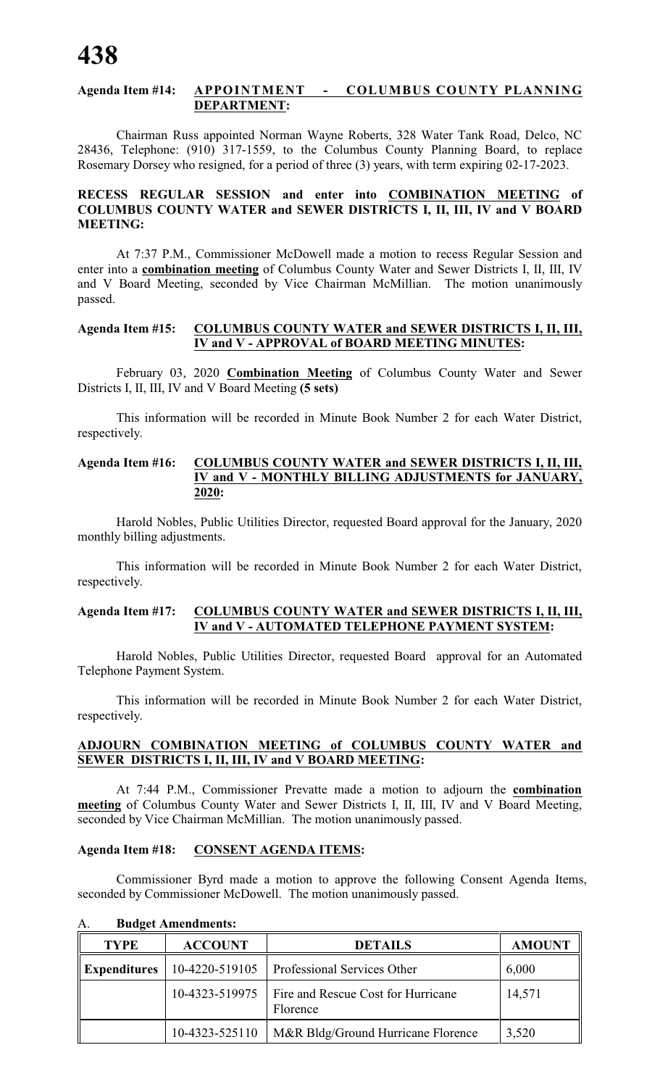#### **Agenda Item #14: APPOINTMENT - COLUMBUS COUNTY PLANNING DEPARTMENT:**

Chairman Russ appointed Norman Wayne Roberts, 328 Water Tank Road, Delco, NC 28436, Telephone: (910) 317-1559, to the Columbus County Planning Board, to replace Rosemary Dorsey who resigned, for a period of three (3) years, with term expiring 02-17-2023.

#### **RECESS REGULAR SESSION and enter into COMBINATION MEETING of COLUMBUS COUNTY WATER and SEWER DISTRICTS I, II, III, IV and V BOARD MEETING:**

At 7:37 P.M., Commissioner McDowell made a motion to recess Regular Session and enter into a **combination meeting** of Columbus County Water and Sewer Districts I, II, III, IV and V Board Meeting, seconded by Vice Chairman McMillian. The motion unanimously passed.

#### **Agenda Item #15: COLUMBUS COUNTY WATER and SEWER DISTRICTS I, II, III, IV and V - APPROVAL of BOARD MEETING MINUTES:**

February 03, 2020 **Combination Meeting** of Columbus County Water and Sewer Districts I, II, III, IV and V Board Meeting **(5 sets)**

This information will be recorded in Minute Book Number 2 for each Water District, respectively.

#### **Agenda Item #16: COLUMBUS COUNTY WATER and SEWER DISTRICTS I, II, III, IV and V - MONTHLY BILLING ADJUSTMENTS for JANUARY, 2020:**

Harold Nobles, Public Utilities Director, requested Board approval for the January, 2020 monthly billing adjustments.

This information will be recorded in Minute Book Number 2 for each Water District, respectively.

#### **Agenda Item #17: COLUMBUS COUNTY WATER and SEWER DISTRICTS I, II, III, IV and V - AUTOMATED TELEPHONE PAYMENT SYSTEM:**

Harold Nobles, Public Utilities Director, requested Board approval for an Automated Telephone Payment System.

This information will be recorded in Minute Book Number 2 for each Water District, respectively.

#### **ADJOURN COMBINATION MEETING of COLUMBUS COUNTY WATER and SEWER DISTRICTS I, II, III, IV and V BOARD MEETING:**

At 7:44 P.M., Commissioner Prevatte made a motion to adjourn the **combination meeting** of Columbus County Water and Sewer Districts I, II, III, IV and V Board Meeting, seconded by Vice Chairman McMillian. The motion unanimously passed.

#### **Agenda Item #18: CONSENT AGENDA ITEMS:**

Commissioner Byrd made a motion to approve the following Consent Agenda Items, seconded by Commissioner McDowell. The motion unanimously passed.

| <b>TYPE</b>         | <b>ACCOUNT</b> | <b>DETAILS</b>                                        | <b>AMOUNT</b> |
|---------------------|----------------|-------------------------------------------------------|---------------|
| <b>Expenditures</b> |                | 10-4220-519105   Professional Services Other          | 6,000         |
|                     | 10-4323-519975 | <b>Fire and Rescue Cost for Hurricane</b><br>Florence | 14,571        |
|                     | 10-4323-525110 | M&R Bldg/Ground Hurricane Florence                    | 3,520         |

#### A. **Budget Amendments:**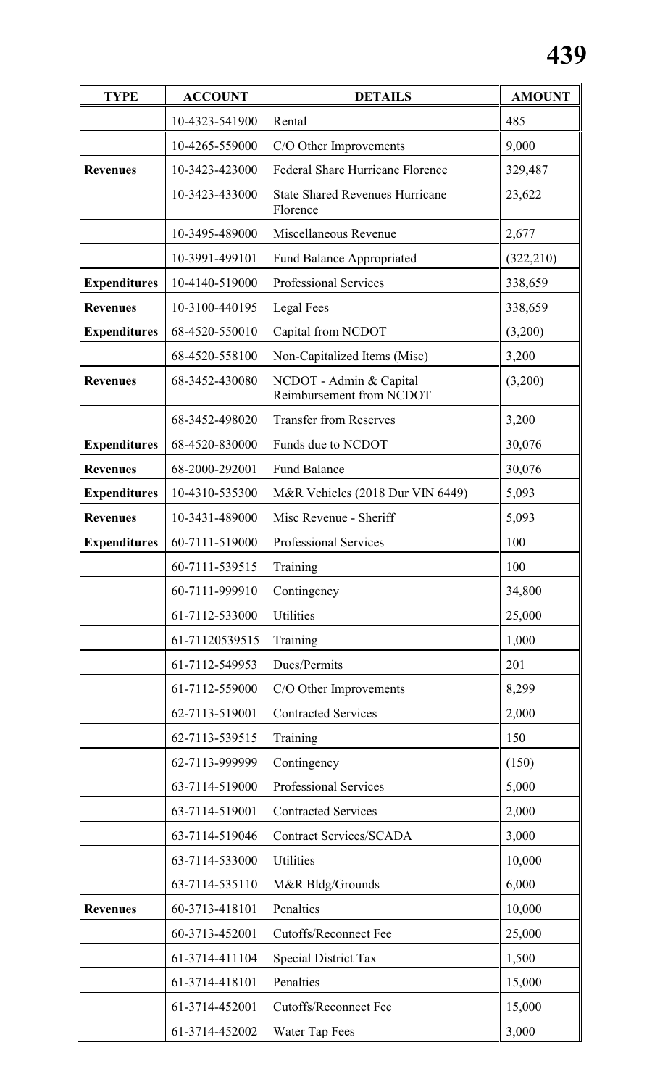| <b>TYPE</b>         | <b>ACCOUNT</b> | <b>DETAILS</b>                                      | <b>AMOUNT</b> |
|---------------------|----------------|-----------------------------------------------------|---------------|
|                     | 10-4323-541900 | Rental                                              | 485           |
|                     | 10-4265-559000 | C/O Other Improvements                              | 9,000         |
| <b>Revenues</b>     | 10-3423-423000 | Federal Share Hurricane Florence                    | 329,487       |
|                     | 10-3423-433000 | <b>State Shared Revenues Hurricane</b><br>Florence  | 23,622        |
|                     | 10-3495-489000 | Miscellaneous Revenue                               | 2,677         |
|                     | 10-3991-499101 | <b>Fund Balance Appropriated</b>                    | (322, 210)    |
| <b>Expenditures</b> | 10-4140-519000 | Professional Services                               | 338,659       |
| <b>Revenues</b>     | 10-3100-440195 | Legal Fees                                          | 338,659       |
| <b>Expenditures</b> | 68-4520-550010 | Capital from NCDOT                                  | (3,200)       |
|                     | 68-4520-558100 | Non-Capitalized Items (Misc)                        | 3,200         |
| <b>Revenues</b>     | 68-3452-430080 | NCDOT - Admin & Capital<br>Reimbursement from NCDOT | (3,200)       |
|                     | 68-3452-498020 | <b>Transfer from Reserves</b>                       | 3,200         |
| <b>Expenditures</b> | 68-4520-830000 | Funds due to NCDOT                                  | 30,076        |
| <b>Revenues</b>     | 68-2000-292001 | <b>Fund Balance</b>                                 | 30,076        |
| <b>Expenditures</b> | 10-4310-535300 | M&R Vehicles (2018 Dur VIN 6449)                    | 5,093         |
| <b>Revenues</b>     | 10-3431-489000 | Misc Revenue - Sheriff                              | 5,093         |
| <b>Expenditures</b> | 60-7111-519000 | Professional Services                               | 100           |
|                     | 60-7111-539515 | Training                                            | 100           |
|                     | 60-7111-999910 | Contingency                                         | 34,800        |
|                     | 61-7112-533000 | <b>Utilities</b>                                    | 25,000        |
|                     | 61-71120539515 | Training                                            | 1,000         |
|                     | 61-7112-549953 | Dues/Permits                                        | 201           |
|                     | 61-7112-559000 | C/O Other Improvements                              | 8,299         |
|                     | 62-7113-519001 | <b>Contracted Services</b>                          | 2,000         |
|                     | 62-7113-539515 | Training                                            | 150           |
|                     | 62-7113-999999 | Contingency                                         | (150)         |
|                     | 63-7114-519000 | <b>Professional Services</b>                        | 5,000         |
|                     | 63-7114-519001 | <b>Contracted Services</b>                          | 2,000         |
|                     | 63-7114-519046 | <b>Contract Services/SCADA</b>                      | 3,000         |
|                     | 63-7114-533000 | Utilities                                           | 10,000        |
|                     | 63-7114-535110 | M&R Bldg/Grounds                                    | 6,000         |
| <b>Revenues</b>     | 60-3713-418101 | Penalties                                           | 10,000        |
|                     | 60-3713-452001 | <b>Cutoffs/Reconnect Fee</b>                        | 25,000        |
|                     | 61-3714-411104 | <b>Special District Tax</b>                         | 1,500         |
|                     | 61-3714-418101 | Penalties                                           | 15,000        |
|                     | 61-3714-452001 | <b>Cutoffs/Reconnect Fee</b>                        | 15,000        |
|                     | 61-3714-452002 | Water Tap Fees                                      | 3,000         |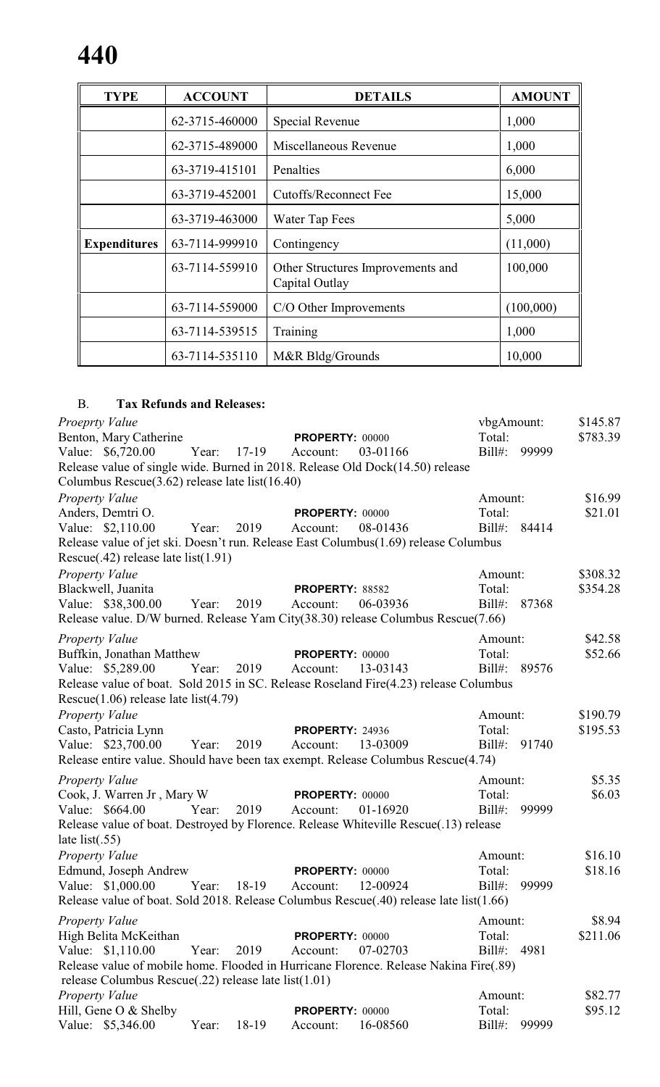| <b>TYPE</b>         | <b>ACCOUNT</b> | <b>DETAILS</b>                                      | <b>AMOUNT</b> |
|---------------------|----------------|-----------------------------------------------------|---------------|
|                     | 62-3715-460000 | Special Revenue                                     | 1,000         |
|                     | 62-3715-489000 | Miscellaneous Revenue                               | 1,000         |
|                     | 63-3719-415101 | Penalties                                           | 6,000         |
|                     | 63-3719-452001 | Cutoffs/Reconnect Fee                               | 15,000        |
|                     | 63-3719-463000 | Water Tap Fees                                      | 5,000         |
| <b>Expenditures</b> | 63-7114-999910 | Contingency                                         | (11,000)      |
|                     | 63-7114-559910 | Other Structures Improvements and<br>Capital Outlay | 100,000       |
|                     | 63-7114-559000 | C/O Other Improvements                              | (100,000)     |
|                     | 63-7114-539515 | Training                                            | 1,000         |
|                     | 63-7114-535110 | M&R Bldg/Grounds                                    | 10,000        |

## B. **Tax Refunds and Releases:**

| Proeprty Value                                             |                  |                                                                                        | vbgAmount:         | \$145.87 |
|------------------------------------------------------------|------------------|----------------------------------------------------------------------------------------|--------------------|----------|
| Benton, Mary Catherine                                     |                  | <b>PROPERTY: 00000</b>                                                                 | Total:             | \$783.39 |
| Value: \$6,720.00                                          | Year:<br>$17-19$ | 03-01166<br>Account:                                                                   | $Bill#$ :<br>99999 |          |
|                                                            |                  | Release value of single wide. Burned in 2018. Release Old Dock(14.50) release          |                    |          |
| Columbus Rescue $(3.62)$ release late list $(16.40)$       |                  |                                                                                        |                    |          |
| Property Value                                             |                  |                                                                                        | Amount:            | \$16.99  |
| Anders, Demtri O.                                          |                  | <b>PROPERTY: 00000</b>                                                                 | Total:             | \$21.01  |
| Value: \$2,110.00                                          | Year:<br>2019    | 08-01436<br>Account:                                                                   | Bill#: 84414       |          |
|                                                            |                  | Release value of jet ski. Doesn't run. Release East Columbus(1.69) release Columbus    |                    |          |
| Rescue $(.42)$ release late list $(1.91)$                  |                  |                                                                                        |                    |          |
| Property Value                                             |                  |                                                                                        | Amount:            | \$308.32 |
| Blackwell, Juanita                                         |                  | PROPERTY: 88582                                                                        | Total:             | \$354.28 |
| Value: \$38,300.00                                         | Year:<br>2019    | 06-03936<br>Account:                                                                   | $Bill#$ :<br>87368 |          |
|                                                            |                  | Release value. D/W burned. Release Yam City(38.30) release Columbus Rescue(7.66)       |                    |          |
| <b>Property Value</b>                                      |                  |                                                                                        | Amount:            | \$42.58  |
| Buffkin, Jonathan Matthew                                  |                  | <b>PROPERTY: 00000</b>                                                                 | Total:             | \$52.66  |
| Value: \$5,289.00                                          | 2019<br>Year:    | Account:<br>13-03143                                                                   | Bill#: 89576       |          |
|                                                            |                  | Release value of boat. Sold 2015 in SC. Release Roseland Fire(4.23) release Columbus   |                    |          |
| Rescue $(1.06)$ release late list $(4.79)$                 |                  |                                                                                        |                    |          |
| Property Value                                             |                  |                                                                                        | Amount:            | \$190.79 |
| Casto, Patricia Lynn                                       |                  | <b>PROPERTY: 24936</b>                                                                 | Total:             | \$195.53 |
| Value: \$23,700.00                                         | 2019<br>Year:    | 13-03009<br>Account:                                                                   | $Bill#$ :<br>91740 |          |
|                                                            |                  | Release entire value. Should have been tax exempt. Release Columbus Rescue(4.74)       |                    |          |
|                                                            |                  |                                                                                        |                    |          |
| <b>Property Value</b>                                      |                  |                                                                                        | Amount:            | \$5.35   |
| Cook, J. Warren Jr, Mary W                                 | Year:<br>2019    | <b>PROPERTY: 00000</b>                                                                 | Total:<br>99999    | \$6.03   |
| Value: \$664.00                                            |                  | 01-16920<br>Account:                                                                   | $Bill#$ :          |          |
| late list $(.55)$                                          |                  | Release value of boat. Destroyed by Florence. Release Whiteville Rescue(.13) release   |                    |          |
|                                                            |                  |                                                                                        |                    |          |
| <b>Property Value</b>                                      |                  |                                                                                        | Amount:            | \$16.10  |
| Edmund, Joseph Andrew                                      |                  | <b>PROPERTY: 00000</b>                                                                 | Total:             | \$18.16  |
| Value: \$1,000.00                                          | 18-19<br>Year:   | 12-00924<br>Account:                                                                   | $Bill#$ :<br>99999 |          |
|                                                            |                  | Release value of boat. Sold 2018. Release Columbus Rescue(.40) release late list(1.66) |                    |          |
| Property Value                                             |                  |                                                                                        | Amount:            | \$8.94   |
| High Belita McKeithan                                      |                  | <b>PROPERTY: 00000</b>                                                                 | Total:             | \$211.06 |
| Value: \$1,110.00                                          | 2019<br>Year:    | 07-02703<br>Account:                                                                   | $Bill#$ :<br>4981  |          |
|                                                            |                  | Release value of mobile home. Flooded in Hurricane Florence. Release Nakina Fire(.89)  |                    |          |
| release Columbus Rescue $(.22)$ release late list $(1.01)$ |                  |                                                                                        |                    |          |
| Property Value                                             |                  |                                                                                        | Amount:            | \$82.77  |
| Hill, Gene O & Shelby                                      |                  | PROPERTY: 00000                                                                        | Total:             | \$95.12  |
| Value: \$5,346.00                                          | 18-19<br>Year:   | 16-08560<br>Account:                                                                   | $Bill#$ :<br>99999 |          |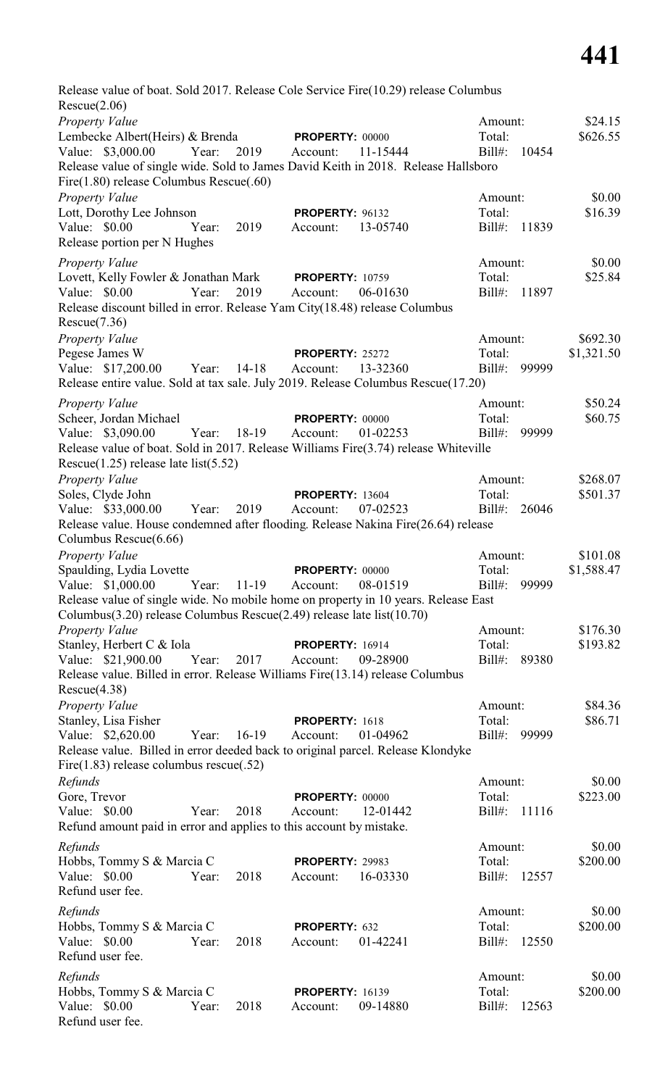Release value of boat. Sold 2017. Release Cole Service Fire(10.29) release Columbus Rescue(2.06) *Property Value* \$24.15 Lembecke Albert(Heirs) & Brenda **PROPERTY:** 00000 Total: \$626.55 Value: \$3,000.00 Year: 2019 Account: 11-15444 Bill#: 10454 Release value of single wide. Sold to James David Keith in 2018. Release Hallsboro Fire(1.80) release Columbus Rescue(.60) *Property Value* \$0.00 Lott, Dorothy Lee Johnson **PROPERTY:** 96132 Total: \$16.39 Value: \$0.00 Year: 2019 Account: 13-05740 Bill#: 11839 Release portion per N Hughes *Property Value* 50.00<br>
Lovett, Kelly Fowler & Jonathan Mark **PROPERTY**: 10759 **Amount:** \$25.84 Lovett, Kelly Fowler & Jonathan Mark **PROPERTY:** 10759 Total: Value: \$0.00 Year: 2019 Account: 06-01630 Bill#: 11897 Release discount billed in error. Release Yam City(18.48) release Columbus Rescue(7.36) *Property Value* \$692.30 Pegese James W **PROPERTY:** 25272 Total: \$1,321.50<br>Value: \$17,200.00 Year: 14-18 Account: 13-32360 Bill#: 99999 Value: \$17,200.00 Year: 14-18 Account: 13-32360 Release entire value. Sold at tax sale. July 2019. Release Columbus Rescue(17.20) *Property Value* \$50.24 Scheer, Jordan Michael **PROPERTY:** 00000 Total: \$60.75 Value: \$3,090.00 Year: 18-19 Account: 01-02253 Bill#: 99999 Release value of boat. Sold in 2017. Release Williams Fire(3.74) release Whiteville Rescue(1.25) release late list(5.52) *Property Value* \$268.07 Soles, Clyde John **PROPERTY:** 13604 Total: \$501.37<br>Value: \$33,000.00 Year: 2019 Account: 07-02523 Bill#: 26046 Value: \$33,000.00 Year: 2019 Account: 07-02523 Release value. House condemned after flooding. Release Nakina Fire(26.64) release Columbus Rescue(6.66) *Property Value* \$101.08 Spaulding, Lydia Lovette **PROPERTY:** 00000 Total: \$1,588.47 Value: \$1,000.00 Year: 11-19 Account: 08-01519 Bill#: 99999 Release value of single wide. No mobile home on property in 10 years. Release East Columbus(3.20) release Columbus Rescue(2.49) release late list(10.70) *Property Value* \$176.30 Stanley, Herbert C & Iola **PROPERTY:** 16914 Total: \$193.82 Value: \$21,900.00 Year: 2017 Account: 09-28900 Bill#: 89380 Release value. Billed in error. Release Williams Fire(13.14) release Columbus Rescue(4.38) *Property Value* \$84.36 Stanley, Lisa Fisher **PROPERTY:** 1618 Total: \$86.71 Value: \$2,620.00 Year: 16-19 Account: 01-04962 Bill#: 99999 Release value. Billed in error deeded back to original parcel. Release Klondyke Fire(1.83) release columbus rescue(.52) *Refunds* \$0.00 Gore, Trevor **PROPERTY:** 00000 Total: \$223.00 Value: \$0.00 Year: 2018 Account: 12-01442 Bill#: 11116 Refund amount paid in error and applies to this account by mistake. *Refunds* \$0.00 Hobbs, Tommy S & Marcia C **PROPERTY:** 29983 Total: \$200.00 Value: \$0.00 Year: 2018 Account: 16-03330 Bill#: 12557 Refund user fee. *Refunds* \$0.00 Hobbs, Tommy S & Marcia C **PROPERTY:** 632 Total: \$200.00 Value: \$0.00 Year: 2018 Account: 01-42241 Bill#: 12550 Refund user fee. *Refunds* \$0.00 Hobbs, Tommy S & Marcia C **PROPERTY:** 16139 Total: \$200.00 Value: \$0.00 Year: 2018 Account: 09-14880 Bill#: 12563

Refund user fee.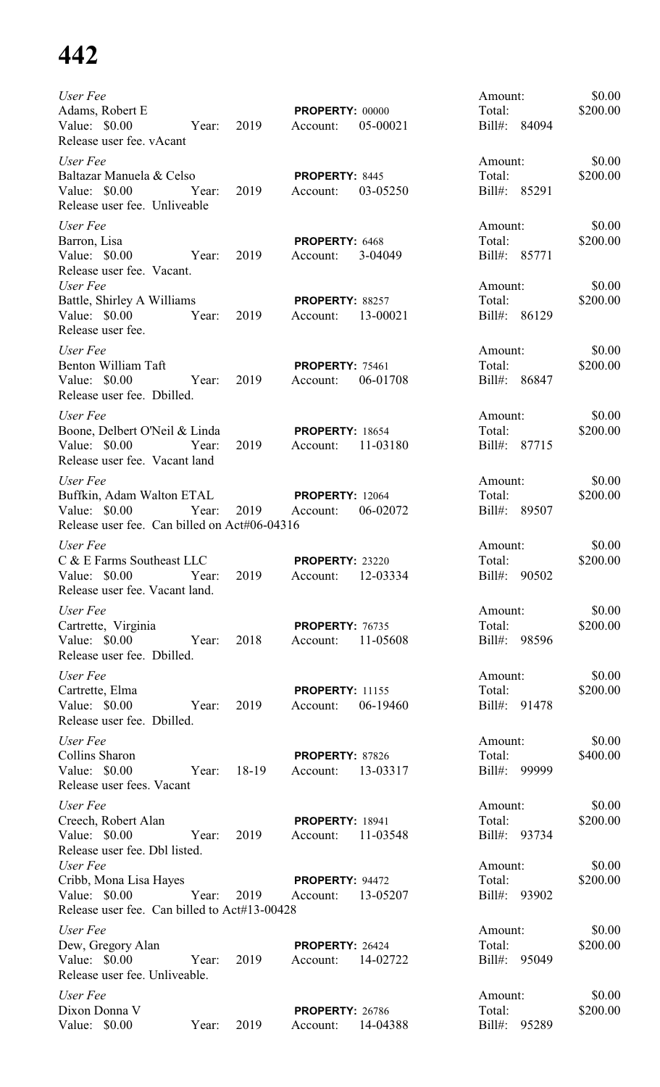| User Fee<br>Adams, Robert E<br>Value: $$0.00$<br>Year: 2019<br>Release user fee. vAcant                                      |       | <b>PROPERTY: 00000</b><br>Account:          | 05-00021 | Amount:<br>Total:<br>Bill#: 84094 | \$0.00<br>\$200.00 |
|------------------------------------------------------------------------------------------------------------------------------|-------|---------------------------------------------|----------|-----------------------------------|--------------------|
| User Fee<br>Baltazar Manuela & Celso<br>Value: $$0.00$<br>Year: 2019<br>Release user fee. Unliveable                         |       | PROPERTY: 8445<br>Account:                  | 03-05250 | Amount:<br>Total:<br>Bill#: 85291 | \$0.00<br>\$200.00 |
| User Fee<br>Barron, Lisa<br>Year: 2019<br>Value: $$0.00$<br>Release user fee. Vacant.                                        |       | PROPERTY: 6468<br>Account:                  | 3-04049  | Amount:<br>Total:<br>Bill#: 85771 | \$0.00<br>\$200.00 |
| User Fee<br>Battle, Shirley A Williams<br>Value: \$0.00 Year:<br>Release user fee.                                           | 2019  | PROPERTY: 88257<br>Account:                 | 13-00021 | Amount:<br>Total:<br>Bill#: 86129 | \$0.00<br>\$200.00 |
| User Fee<br>Benton William Taft<br>Value: \$0.00<br>Year:<br>Release user fee. Dbilled.                                      | 2019  | <b>PROPERTY: 75461</b><br>Account:          | 06-01708 | Amount:<br>Total:<br>Bill#: 86847 | \$0.00<br>\$200.00 |
| User Fee<br>Boone, Delbert O'Neil & Linda<br>Value: \$0.00 Year:<br>Release user fee. Vacant land                            | 2019  | <b>PROPERTY: 18654</b><br>Account:          | 11-03180 | Amount:<br>Total:<br>Bill#: 87715 | \$0.00<br>\$200.00 |
| User Fee<br>Buffkin, Adam Walton ETAL<br>Value: \$0.00<br>Year:<br>Release user fee. Can billed on Act#06-04316              | 2019  | <b>PROPERTY: 12064</b><br>Account:          | 06-02072 | Amount:<br>Total:<br>Bill#: 89507 | \$0.00<br>\$200.00 |
| User Fee<br>C & E Farms Southeast LLC<br>Value: \$0.00 			 Year: 2019 		 Account: 12-03334<br>Release user fee. Vacant land. |       | <b>PROPERTY: 23220</b>                      |          | Amount:<br>Total:<br>Bill#: 90502 | \$0.00<br>\$200.00 |
| User Fee<br>Cartrette, Virginia<br>Value: \$0.00 Year:<br>Release user fee. Dbilled.                                         | 2018  | PROPERTY: 76735<br>Account: 11-05608        |          | Amount:<br>Total:<br>Bill#: 98596 | \$0.00<br>\$200.00 |
| User Fee<br>Cartrette, Elma<br>Value: \$0.00 Year:<br>Release user fee. Dbilled.                                             | 2019  | <b>PROPERTY: 11155</b><br>Account:          | 06-19460 | Amount:<br>Total:<br>Bill#: 91478 | \$0.00<br>\$200.00 |
| User Fee<br>Collins Sharon<br>Value: \$0.00 Year:<br>Release user fees. Vacant                                               | 18-19 | <b>PROPERTY: 87826</b><br>Account: 13-03317 |          | Amount:<br>Total:<br>Bill#: 99999 | \$0.00<br>\$400.00 |
| User Fee<br>Creech, Robert Alan<br>Value: $$0.00$<br>Year:<br>Release user fee. Dbl listed.                                  | 2019  | <b>PROPERTY: 18941</b><br>Account:          | 11-03548 | Amount:<br>Total:<br>Bill#: 93734 | \$0.00<br>\$200.00 |
| User Fee<br>Cribb, Mona Lisa Hayes<br>Year:<br>Value: \$0.00<br>Release user fee. Can billed to Act#13-00428                 |       | <b>PROPERTY: 94472</b><br>2019 Account:     | 13-05207 | Amount:<br>Total:<br>Bill#: 93902 | \$0.00<br>\$200.00 |
| User Fee<br>Dew, Gregory Alan<br>Value: \$0.00<br>Year:<br>Release user fee. Unliveable.                                     | 2019  | PROPERTY: 26424<br>Account: 14-02722        |          | Amount:<br>Total:<br>Bill#: 95049 | \$0.00<br>\$200.00 |
| User Fee<br>Dixon Donna V<br>Value: \$0.00<br>Year:                                                                          | 2019  | <b>PROPERTY: 26786</b><br>Account:          | 14-04388 | Amount:<br>Total:<br>Bill#: 95289 | \$0.00<br>\$200.00 |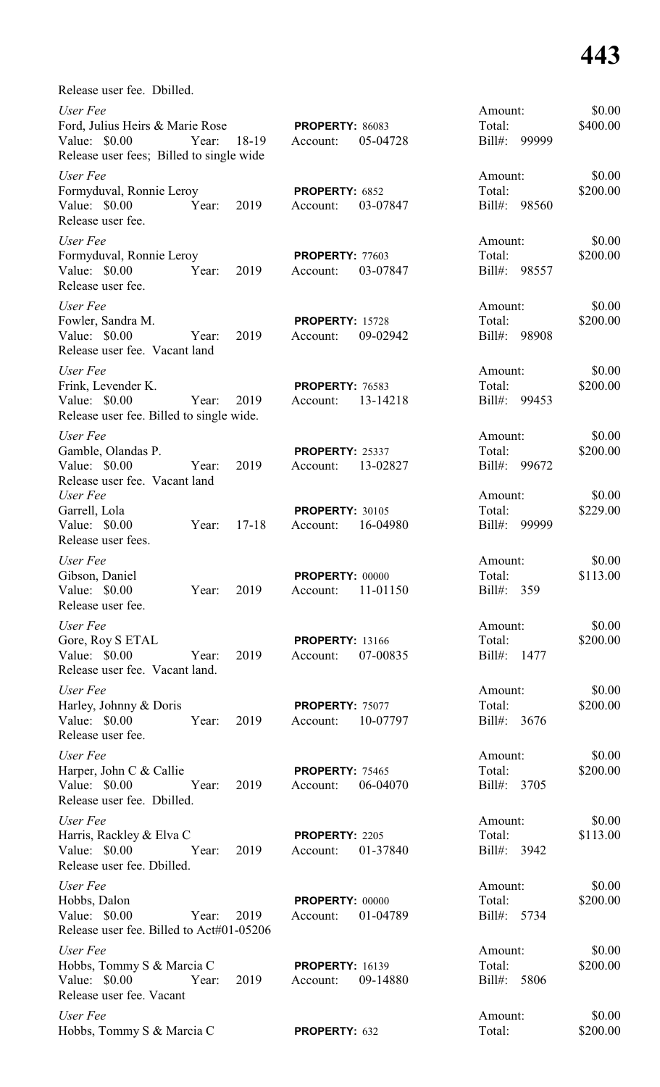| Release user fee. Dbilled.                                                                                        |           |                                    |          |                                         |                    |
|-------------------------------------------------------------------------------------------------------------------|-----------|------------------------------------|----------|-----------------------------------------|--------------------|
| User Fee<br>Ford, Julius Heirs & Marie Rose<br>Value: \$0.00<br>Year:<br>Release user fees; Billed to single wide | 18-19     | <b>PROPERTY: 86083</b><br>Account: | 05-04728 | Amount:<br>Total:<br>$Bill#$ :<br>99999 | \$0.00<br>\$400.00 |
| User Fee<br>Formyduval, Ronnie Leroy<br>Value: \$0.00<br>Year:<br>Release user fee.                               | 2019      | PROPERTY: 6852<br>Account:         | 03-07847 | Amount:<br>Total:<br>$Bill#$ :<br>98560 | \$0.00<br>\$200.00 |
| User Fee<br>Formyduval, Ronnie Leroy<br>Value: \$0.00<br>Year:<br>Release user fee.                               | 2019      | PROPERTY: 77603<br>Account:        | 03-07847 | Amount:<br>Total:<br>$Bill#$ :<br>98557 | \$0.00<br>\$200.00 |
| User Fee<br>Fowler, Sandra M.<br>Value: \$0.00<br>Year:<br>Release user fee. Vacant land                          | 2019      | <b>PROPERTY: 15728</b><br>Account: | 09-02942 | Amount:<br>Total:<br>$Bill#$ :<br>98908 | \$0.00<br>\$200.00 |
| User Fee<br>Frink, Levender K.<br>Value: \$0.00<br>Year:<br>Release user fee. Billed to single wide.              | 2019      | <b>PROPERTY: 76583</b><br>Account: | 13-14218 | Amount:<br>Total:<br>$Bill#$ :<br>99453 | \$0.00<br>\$200.00 |
| User Fee<br>Gamble, Olandas P.<br>Value: \$0.00<br>Year:<br>Release user fee. Vacant land                         | 2019      | <b>PROPERTY: 25337</b><br>Account: | 13-02827 | Amount:<br>Total:<br>$Bill#$ :<br>99672 | \$0.00<br>\$200.00 |
| User Fee<br>Garrell, Lola<br>Value: \$0.00<br>Year:<br>Release user fees.                                         | $17 - 18$ | <b>PROPERTY: 30105</b><br>Account: | 16-04980 | Amount:<br>Total:<br>$Bill#$ :<br>99999 | \$0.00<br>\$229.00 |
| User Fee<br>Gibson, Daniel<br>Value: \$0.00<br>Year:<br>Release user fee.                                         | 2019      | PROPERTY: 00000<br>Account:        | 11-01150 | Amount:<br>Total:<br>$Bill#$ :<br>359   | \$0.00<br>\$113.00 |
| User Fee<br>Gore, Roy S ETAL<br>Value: \$0.00<br>Year:<br>Release user fee. Vacant land.                          | 2019      | <b>PROPERTY: 13166</b><br>Account: | 07-00835 | Amount:<br>Total:<br>$Bill#$ :<br>1477  | \$0.00<br>\$200.00 |
| User Fee<br>Harley, Johnny & Doris<br>Value: \$0.00<br>Year:<br>Release user fee.                                 | 2019      | PROPERTY: 75077<br>Account:        | 10-07797 | Amount:<br>Total:<br>Bill#: 3676        | \$0.00<br>\$200.00 |
| User Fee<br>Harper, John C & Callie<br>Value: \$0.00<br>Year:<br>Release user fee. Dbilled.                       | 2019      | <b>PROPERTY: 75465</b><br>Account: | 06-04070 | Amount:<br>Total:<br>Bill#: 3705        | \$0.00<br>\$200.00 |
| User Fee<br>Harris, Rackley & Elva C<br>Value: \$0.00<br>Year:<br>Release user fee. Dbilled.                      | 2019      | PROPERTY: 2205<br>Account:         | 01-37840 | Amount:<br>Total:<br>Bill#: 3942        | \$0.00<br>\$113.00 |
| User Fee<br>Hobbs, Dalon<br>Value: \$0.00<br>Year:<br>Release user fee. Billed to Act#01-05206                    | 2019      | <b>PROPERTY: 00000</b><br>Account: | 01-04789 | Amount:<br>Total:<br>Bill#: 5734        | \$0.00<br>\$200.00 |
| User Fee<br>Hobbs, Tommy S & Marcia C<br>Value: \$0.00<br>Year:<br>Release user fee. Vacant                       | 2019      | <b>PROPERTY: 16139</b><br>Account: | 09-14880 | Amount:<br>Total:<br>Bill#: 5806        | \$0.00<br>\$200.00 |
| User Fee<br>Hobbs, Tommy S & Marcia C                                                                             |           | PROPERTY: 632                      |          | Amount:<br>Total:                       | \$0.00<br>\$200.00 |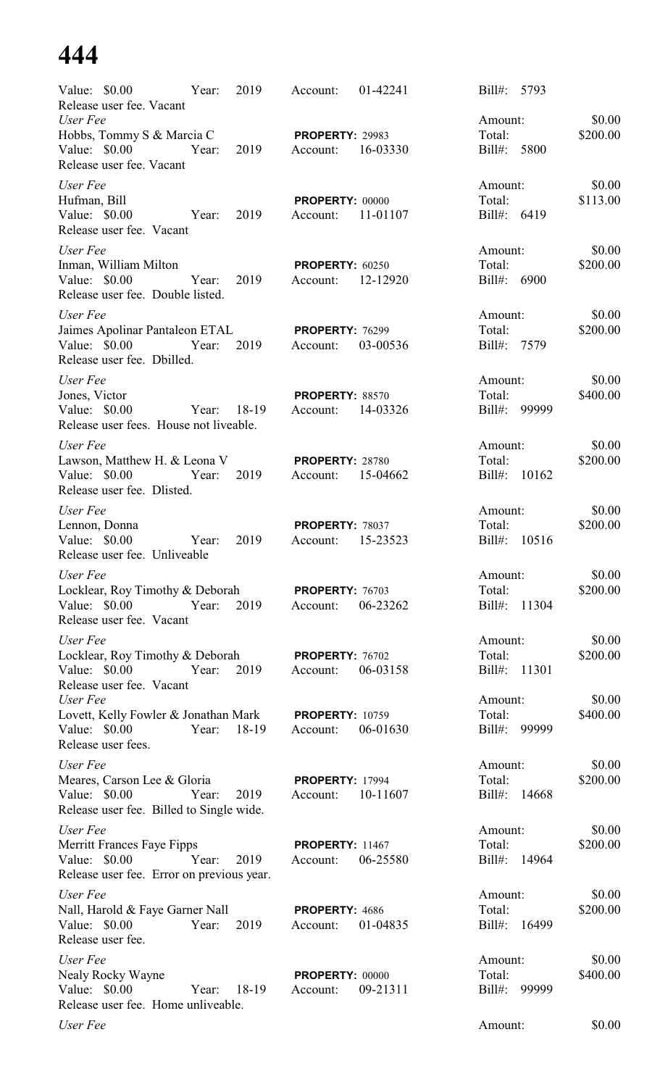| Value: \$0.00<br>Release user fee. Vacant                                     | Year:       | 2019  | Account:                           | 01-42241 | Bill#:<br>5793           |                    |
|-------------------------------------------------------------------------------|-------------|-------|------------------------------------|----------|--------------------------|--------------------|
| User Fee                                                                      |             |       |                                    |          | Amount:                  | \$0.00             |
| Hobbs, Tommy S & Marcia C<br>Value: \$0.00<br>Release user fee. Vacant        | Year:       | 2019  | <b>PROPERTY: 29983</b><br>Account: | 16-03330 | Total:<br>5800<br>Bill#: | \$200.00           |
| User Fee                                                                      |             |       |                                    |          | Amount:                  | \$0.00             |
| Hufman, Bill<br>Value: \$0.00<br>Release user fee. Vacant                     | Year:       | 2019  | PROPERTY: 00000<br>Account:        | 11-01107 | Total:<br>Bill#: 6419    | \$113.00           |
| User Fee                                                                      |             |       |                                    |          | Amount:                  | \$0.00             |
| Inman, William Milton<br>Value: \$0.00<br>Release user fee. Double listed.    | Year:       | 2019  | <b>PROPERTY: 60250</b><br>Account: | 12-12920 | Total:<br>6900<br>Bill#: | \$200.00           |
| User Fee                                                                      |             |       |                                    |          | Amount:                  | \$0.00             |
| Jaimes Apolinar Pantaleon ETAL<br>Value: \$0.00<br>Release user fee. Dbilled. | Year:       | 2019  | <b>PROPERTY: 76299</b><br>Account: | 03-00536 | Total:<br>Bill#: 7579    | \$200.00           |
| User Fee                                                                      |             |       |                                    |          | Amount:                  | \$0.00             |
| Jones, Victor                                                                 |             |       | PROPERTY: 88570                    |          | Total:                   | \$400.00           |
| Value: \$0.00<br>Release user fees. House not liveable.                       | Year:       | 18-19 | Account:                           | 14-03326 | Bill#: 99999             |                    |
| User Fee                                                                      |             |       |                                    |          | Amount:                  | \$0.00             |
| Lawson, Matthew H. & Leona V                                                  |             |       | <b>PROPERTY: 28780</b>             |          | Total:                   | \$200.00           |
| Value: \$0.00<br>Release user fee. Dlisted.                                   | Year:       | 2019  | Account:                           | 15-04662 | Bill#: 10162             |                    |
| User Fee                                                                      |             |       |                                    |          | Amount:                  | \$0.00             |
| Lennon, Donna                                                                 |             |       | <b>PROPERTY: 78037</b>             |          | Total:                   | \$200.00           |
| Value: \$0.00<br>Release user fee. Unliveable                                 | Year:       | 2019  | Account:                           | 15-23523 | Bill#:<br>10516          |                    |
| User Fee                                                                      |             |       |                                    |          | Amount:                  | \$0.00             |
| Locklear, Roy Timothy & Deborah                                               |             |       | <b>PROPERTY: 76703</b>             |          | Total:                   | \$200.00           |
| Value: \$0.00<br>Release user fee. Vacant                                     | Year:       | 2019  | Account:                           | 06-23262 | Bill#: 11304             |                    |
| User Fee                                                                      |             |       |                                    |          | Amount:                  | \$0.00             |
| Locklear, Roy Timothy & Deborah<br>Value: \$0.00<br>Release user fee. Vacant  | Year:       | 2019  | <b>PROPERTY: 76702</b><br>Account: | 06-03158 | Total:<br>Bill#: 11301   | \$200.00           |
| User Fee                                                                      |             |       |                                    |          | Amount:                  | \$0.00             |
| Lovett, Kelly Fowler & Jonathan Mark                                          |             |       | <b>PROPERTY: 10759</b>             |          | Total:                   | \$400.00           |
| Value: \$0.00<br>Release user fees.                                           | Year: 18-19 |       | Account:                           | 06-01630 | Bill#: 99999             |                    |
| User Fee                                                                      |             |       |                                    |          | Amount:                  | \$0.00             |
| Meares, Carson Lee & Gloria<br>Value: \$0.00                                  | Year:       | 2019  | <b>PROPERTY: 17994</b><br>Account: | 10-11607 | Total:<br>Bill#: 14668   | \$200.00           |
| Release user fee. Billed to Single wide.                                      |             |       |                                    |          |                          |                    |
| User Fee                                                                      |             |       |                                    |          | Amount:                  | \$0.00             |
| <b>Merritt Frances Faye Fipps</b>                                             |             |       | <b>PROPERTY: 11467</b>             |          | Total:                   | \$200.00           |
| Value: \$0.00<br>Release user fee. Error on previous year.                    | Year:       | 2019  | Account:                           | 06-25580 | Bill#: 14964             |                    |
| User Fee                                                                      |             |       |                                    |          | Amount:                  | \$0.00             |
| Nall, Harold & Faye Garner Nall                                               |             |       | PROPERTY: 4686                     |          | Total:                   | \$200.00           |
| Value: \$0.00<br>Release user fee.                                            | Year:       | 2019  | Account:                           | 01-04835 | Bill#:<br>16499          |                    |
| User Fee<br>Nealy Rocky Wayne                                                 |             |       | PROPERTY: 00000                    |          | Amount:<br>Total:        | \$0.00<br>\$400.00 |
| Value: \$0.00                                                                 | Year:       | 18-19 | Account:                           | 09-21311 | Bill#: 99999             |                    |
| Release user fee. Home unliveable.                                            |             |       |                                    |          |                          |                    |
| User Fee                                                                      |             |       |                                    |          | Amount:                  | \$0.00             |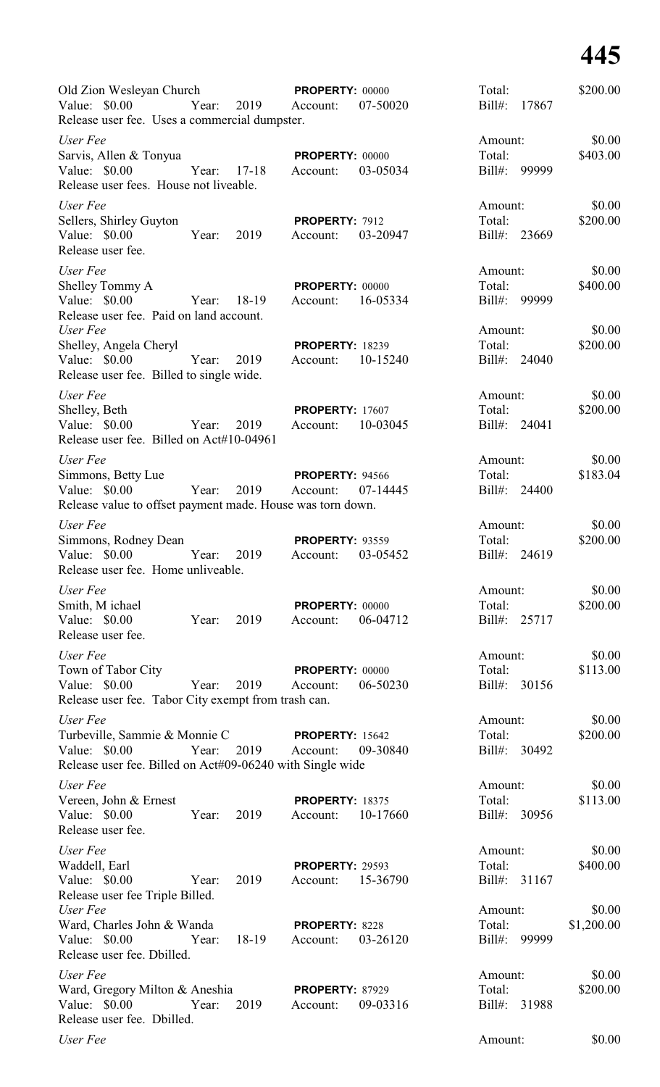| Old Zion Wesleyan Church<br>Value: $$0.00$<br>Release user fee. Uses a commercial dumpster.                             | Year: | 2019      | PROPERTY: 00000<br>Account:        | 07-50020 | Total:<br>$Bill#$ :            | 17867 | \$200.00             |
|-------------------------------------------------------------------------------------------------------------------------|-------|-----------|------------------------------------|----------|--------------------------------|-------|----------------------|
| User Fee<br>Sarvis, Allen & Tonyua<br>Value: \$0.00<br>Release user fees. House not liveable.                           | Year: | $17 - 18$ | <b>PROPERTY: 00000</b><br>Account: | 03-05034 | Amount:<br>Total:<br>Bill#:    | 99999 | \$0.00<br>\$403.00   |
| User Fee<br>Sellers, Shirley Guyton<br>Value: \$0.00<br>Release user fee.                                               | Year: | 2019      | PROPERTY: 7912<br>Account:         | 03-20947 | Amount:<br>Total:<br>Bill#:    | 23669 | \$0.00<br>\$200.00   |
| User Fee<br>Shelley Tommy A<br>Value: \$0.00<br>Release user fee. Paid on land account.                                 | Year: | 18-19     | <b>PROPERTY: 00000</b><br>Account: | 16-05334 | Amount:<br>Total:<br>Bill#:    | 99999 | \$0.00<br>\$400.00   |
| User Fee<br>Shelley, Angela Cheryl<br>Value: \$0.00<br>Release user fee. Billed to single wide.                         | Year: | 2019      | <b>PROPERTY: 18239</b><br>Account: | 10-15240 | Amount:<br>Total:<br>Bill#:    | 24040 | \$0.00<br>\$200.00   |
| User Fee<br>Shelley, Beth<br>Value: $$0.00$<br>Release user fee. Billed on Act#10-04961                                 | Year: | 2019      | <b>PROPERTY: 17607</b><br>Account: | 10-03045 | Amount:<br>Total:<br>Bill#:    | 24041 | \$0.00<br>\$200.00   |
| User Fee<br>Simmons, Betty Lue<br>Value: \$0.00<br>Release value to offset payment made. House was torn down.           | Year: | 2019      | <b>PROPERTY: 94566</b><br>Account: | 07-14445 | Amount:<br>Total:<br>Bill#:    | 24400 | \$0.00<br>\$183.04   |
| User Fee<br>Simmons, Rodney Dean<br>Value: \$0.00<br>Release user fee. Home unliveable.                                 | Year: | 2019      | <b>PROPERTY: 93559</b><br>Account: | 03-05452 | Amount:<br>Total:<br>Bill#:    | 24619 | \$0.00<br>\$200.00   |
| User Fee<br>Smith, M ichael<br>Value: \$0.00<br>Release user fee.                                                       | Year: | 2019      | <b>PROPERTY: 00000</b><br>Account: | 06-04712 | Amount:<br>Total:<br>Bill#:    | 25717 | \$0.00<br>\$200.00   |
| User Fee<br>Town of Tabor City<br>Value: \$0.00<br>Release user fee. Tabor City exempt from trash can.                  | Year: | 2019      | <b>PROPERTY: 00000</b><br>Account: | 06-50230 | Amount:<br>Total:<br>Bill#:    | 30156 | \$0.00<br>\$113.00   |
| User Fee<br>Turbeville, Sammie & Monnie C<br>Value: \$0.00<br>Release user fee. Billed on Act#09-06240 with Single wide | Year: | 2019      | <b>PROPERTY: 15642</b><br>Account: | 09-30840 | Amount:<br>Total:<br>$Bill#$ : | 30492 | \$0.00<br>\$200.00   |
| User Fee<br>Vereen, John & Ernest<br>Value: \$0.00<br>Release user fee.                                                 | Year: | 2019      | <b>PROPERTY: 18375</b><br>Account: | 10-17660 | Amount:<br>Total:<br>$Bill#$ : | 30956 | \$0.00<br>\$113.00   |
| User Fee<br>Waddell, Earl<br>Value: \$0.00<br>Release user fee Triple Billed.                                           | Year: | 2019      | <b>PROPERTY: 29593</b><br>Account: | 15-36790 | Amount:<br>Total:<br>$Bill#$ : | 31167 | \$0.00<br>\$400.00   |
| User Fee<br>Ward, Charles John & Wanda<br>Value: \$0.00<br>Release user fee. Dbilled.                                   | Year: | 18-19     | PROPERTY: 8228<br>Account:         | 03-26120 | Amount:<br>Total:<br>Bill#:    | 99999 | \$0.00<br>\$1,200.00 |
| User Fee<br>Ward, Gregory Milton & Aneshia<br>Value: \$0.00<br>Release user fee. Dbilled.                               | Year: | 2019      | <b>PROPERTY: 87929</b><br>Account: | 09-03316 | Amount:<br>Total:<br>$Bill#$ : | 31988 | \$0.00<br>\$200.00   |
| User Fee                                                                                                                |       |           |                                    |          | Amount:                        |       | \$0.00               |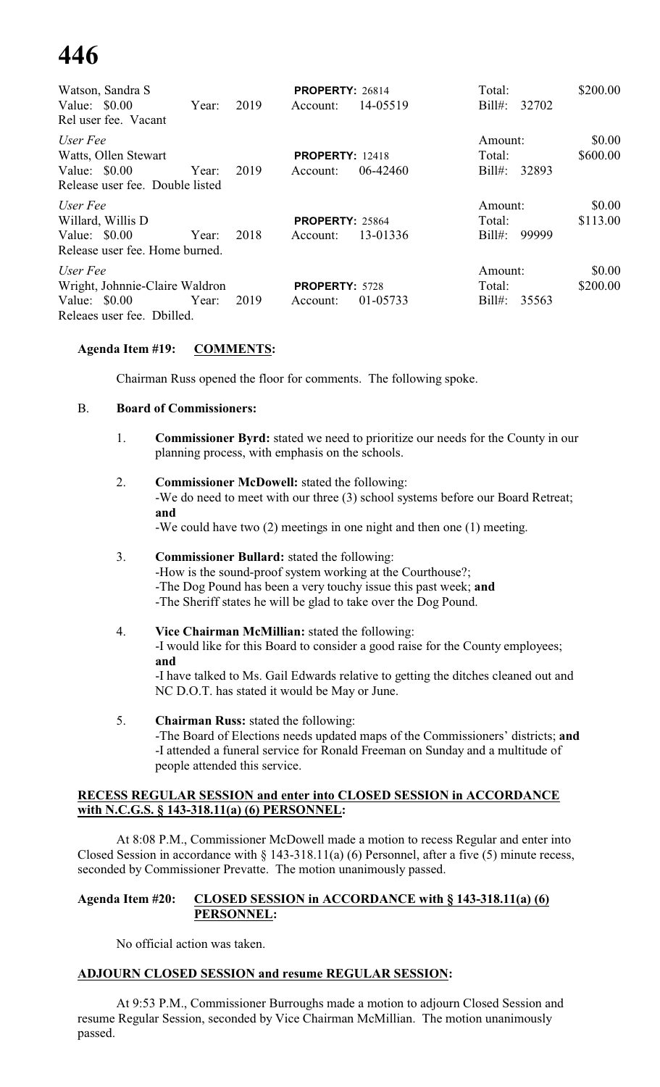| Watson, Sandra S                       |       |      | PROPERTY: 26814        |          | Total:             | \$200.00 |
|----------------------------------------|-------|------|------------------------|----------|--------------------|----------|
| Value: $$0.00$<br>Rel user fee. Vacant | Year: | 2019 | Account:               | 14-05519 | $Bill#$ :<br>32702 |          |
| User Fee                               |       |      |                        |          | Amount:            | \$0.00   |
| Watts, Ollen Stewart                   |       |      | <b>PROPERTY: 12418</b> |          | Total:             | \$600.00 |
| Value: $$0.00$                         | Year: | 2019 | Account:               | 06-42460 | 32893<br>$Bill#$ : |          |
| Release user fee. Double listed        |       |      |                        |          |                    |          |
| User Fee                               |       |      |                        |          | Amount:            | \$0.00   |
| Willard, Willis D                      |       |      | <b>PROPERTY: 25864</b> |          | Total:             | \$113.00 |
| Value: $$0.00$                         | Year: | 2018 | Account:               | 13-01336 | $Bill#$ :<br>99999 |          |
| Release user fee. Home burned.         |       |      |                        |          |                    |          |
| User Fee                               |       |      |                        |          | Amount:            | \$0.00   |
| Wright, Johnnie-Claire Waldron         |       |      | <b>PROPERTY: 5728</b>  |          | Total:             | \$200.00 |
| Value: $$0.00$                         | Year: | 2019 | Account:               | 01-05733 | $Bill#$ :<br>35563 |          |
| Releaes user fee. Dbilled.             |       |      |                        |          |                    |          |

#### **Agenda Item #19: COMMENTS:**

Chairman Russ opened the floor for comments. The following spoke.

#### B. **Board of Commissioners:**

- 1. **Commissioner Byrd:** stated we need to prioritize our needs for the County in our planning process, with emphasis on the schools.
- 2. **Commissioner McDowell:** stated the following: -We do need to meet with our three (3) school systems before our Board Retreat; **and** -We could have two (2) meetings in one night and then one (1) meeting.

#### 3. **Commissioner Bullard:** stated the following: -How is the sound-proof system working at the Courthouse?; -The Dog Pound has been a very touchy issue this past week; **and** -The Sheriff states he will be glad to take over the Dog Pound.

4. **Vice Chairman McMillian:** stated the following: -I would like for this Board to consider a good raise for the County employees; **and** -I have talked to Ms. Gail Edwards relative to getting the ditches cleaned out and

NC D.O.T. has stated it would be May or June. 5. **Chairman Russ:** stated the following:

-The Board of Elections needs updated maps of the Commissioners' districts; **and** -I attended a funeral service for Ronald Freeman on Sunday and a multitude of people attended this service.

#### **RECESS REGULAR SESSION and enter into CLOSED SESSION in ACCORDANCE with N.C.G.S. § 143-318.11(a) (6) PERSONNEL:**

At 8:08 P.M., Commissioner McDowell made a motion to recess Regular and enter into Closed Session in accordance with § 143-318.11(a) (6) Personnel, after a five (5) minute recess, seconded by Commissioner Prevatte. The motion unanimously passed.

#### **Agenda Item #20: CLOSED SESSION in ACCORDANCE with § 143-318.11(a) (6) PERSONNEL:**

No official action was taken.

#### **ADJOURN CLOSED SESSION and resume REGULAR SESSION:**

At 9:53 P.M., Commissioner Burroughs made a motion to adjourn Closed Session and resume Regular Session, seconded by Vice Chairman McMillian. The motion unanimously passed.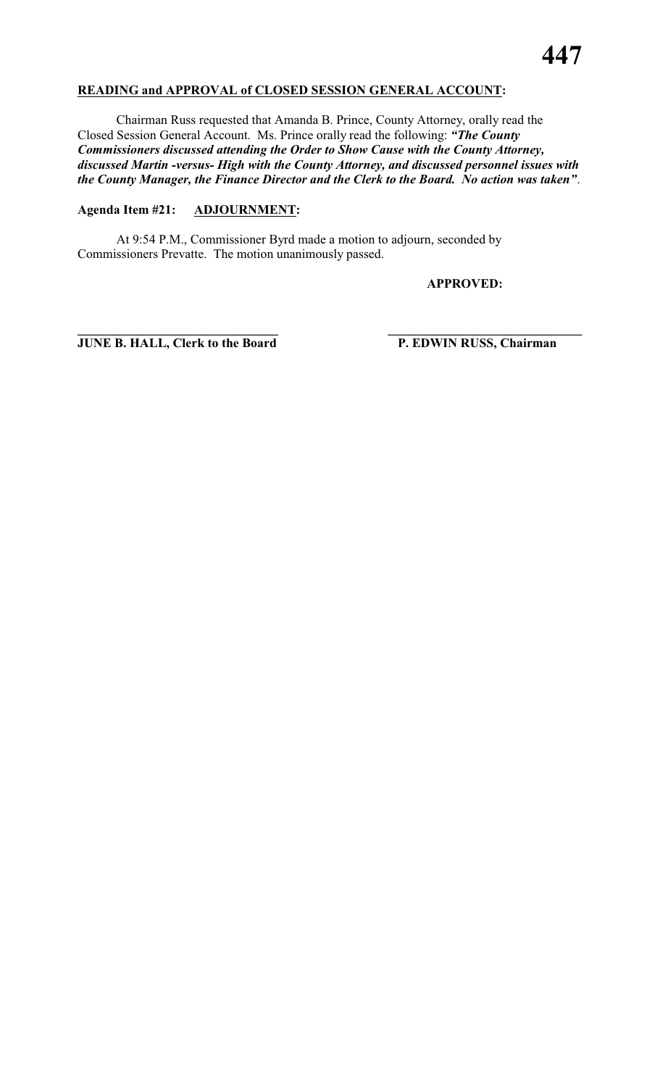#### **READING and APPROVAL of CLOSED SESSION GENERAL ACCOUNT:**

Chairman Russ requested that Amanda B. Prince, County Attorney, orally read the Closed Session General Account. Ms. Prince orally read the following: *"The County Commissioners discussed attending the Order to Show Cause with the County Attorney, discussed Martin -versus- High with the County Attorney, and discussed personnel issues with the County Manager, the Finance Director and the Clerk to the Board. No action was taken"*.

**\_\_\_\_\_\_\_\_\_\_\_\_\_\_\_\_\_\_\_\_\_\_\_\_\_\_\_\_\_\_\_ \_\_\_\_\_\_\_\_\_\_\_\_\_\_\_\_\_\_\_\_\_\_\_\_\_\_\_\_\_\_**

## **Agenda Item #21: ADJOURNMENT:**

At 9:54 P.M., Commissioner Byrd made a motion to adjourn, seconded by Commissioners Prevatte. The motion unanimously passed.

**APPROVED:**

**JUNE B. HALL, Clerk to the Board P. EDWIN RUSS, Chairman**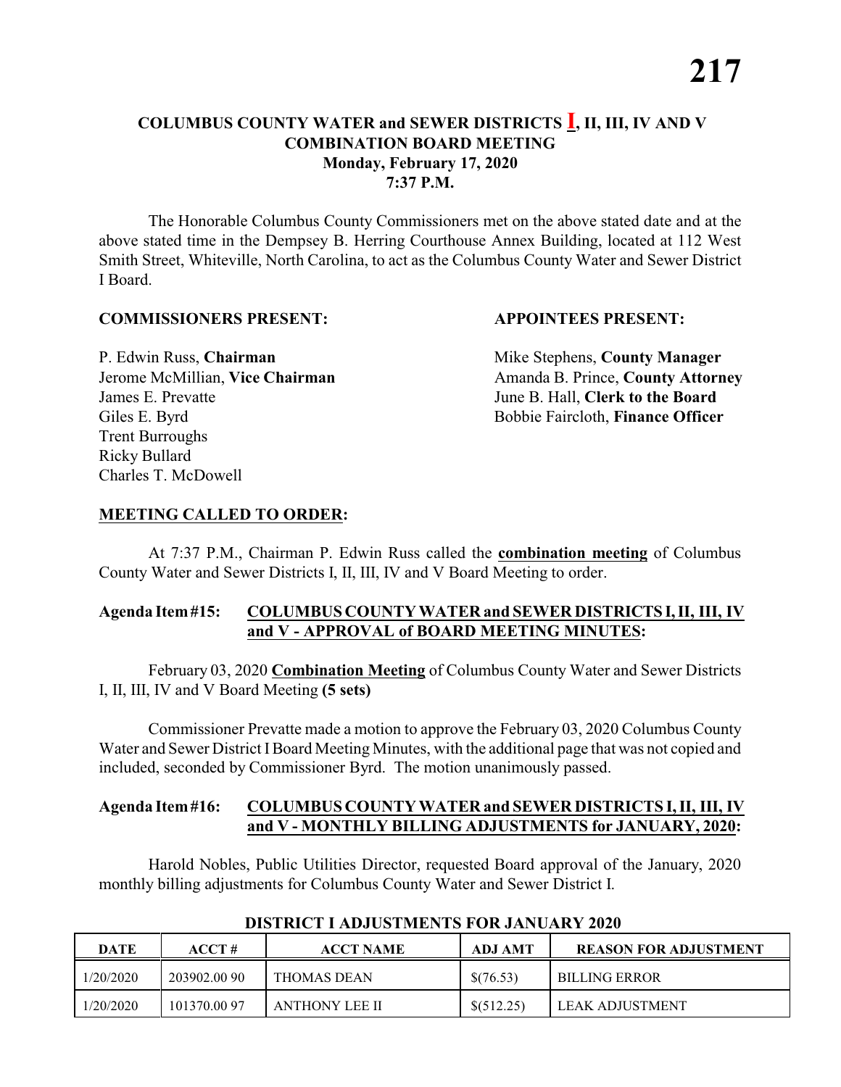#### **COLUMBUS COUNTY WATER and SEWER DISTRICTS I, II, III, IV AND V COMBINATION BOARD MEETING Monday, February 17, 2020 7:37 P.M.**

The Honorable Columbus County Commissioners met on the above stated date and at the above stated time in the Dempsey B. Herring Courthouse Annex Building, located at 112 West Smith Street, Whiteville, North Carolina, to act as the Columbus County Water and Sewer District I Board.

#### **COMMISSIONERS PRESENT: APPOINTEES PRESENT:**

P. Edwin Russ, **Chairman** Mike Stephens, **County Manager** James E. Prevatte June B. Hall, **Clerk to the Board** Giles E. Byrd **Bobbie Faircloth, Finance Officer** Trent Burroughs Ricky Bullard Charles T. McDowell

Jerome McMillian, Vice Chairman Amanda B. Prince, County Attorney

#### **MEETING CALLED TO ORDER:**

At 7:37 P.M., Chairman P. Edwin Russ called the **combination meeting** of Columbus County Water and Sewer Districts I, II, III, IV and V Board Meeting to order.

#### **Agenda Item#15: COLUMBUS COUNTY WATER and SEWER DISTRICTS I,II, III, IV and V - APPROVAL of BOARD MEETING MINUTES:**

February 03, 2020 **Combination Meeting** of Columbus County Water and Sewer Districts I, II, III, IV and V Board Meeting **(5 sets)**

Commissioner Prevatte made a motion to approve the February 03, 2020 Columbus County Water and Sewer District IBoard Meeting Minutes, with the additional page that was not copied and included, seconded by Commissioner Byrd. The motion unanimously passed.

#### **Agenda Item#16: COLUMBUS COUNTY WATER and SEWER DISTRICTS I, II, III, IV and V - MONTHLY BILLING ADJUSTMENTS for JANUARY, 2020:**

Harold Nobles, Public Utilities Director, requested Board approval of the January, 2020 monthly billing adjustments for Columbus County Water and Sewer District I.

| DATE      | ACCT#        | <b>ACCT NAME</b> | ADJ AMT    | REASON FOR ADJUSTMENT |
|-----------|--------------|------------------|------------|-----------------------|
| 1/20/2020 | 203902.00 90 | THOMAS DEAN      | \$(76.53)  | <b>BILLING ERROR</b>  |
| 1/20/2020 | 101370.0097  | ANTHONY LEE II   | \$(512.25) | LEAK ADJUSTMENT       |

#### **DISTRICT I ADJUSTMENTS FOR JANUARY 2020**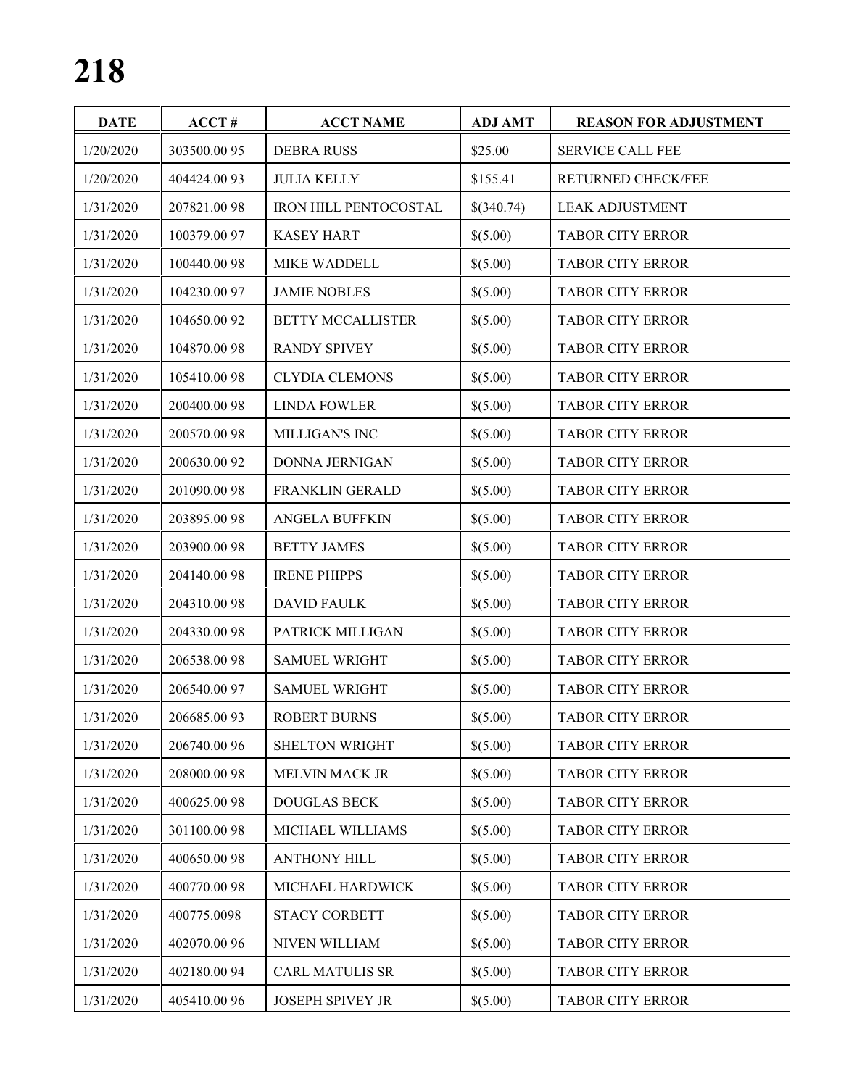| <b>DATE</b> | ACCT#        | <b>ACCT NAME</b>         | <b>ADJ AMT</b> | <b>REASON FOR ADJUSTMENT</b> |
|-------------|--------------|--------------------------|----------------|------------------------------|
| 1/20/2020   | 303500.00 95 | <b>DEBRA RUSS</b>        | \$25.00        | <b>SERVICE CALL FEE</b>      |
| 1/20/2020   | 404424.0093  | <b>JULIA KELLY</b>       | \$155.41       | RETURNED CHECK/FEE           |
| 1/31/2020   | 207821.0098  | IRON HILL PENTOCOSTAL    | \$(340.74)     | <b>LEAK ADJUSTMENT</b>       |
| 1/31/2020   | 100379.00 97 | <b>KASEY HART</b>        | \$(5.00)       | <b>TABOR CITY ERROR</b>      |
| 1/31/2020   | 100440.0098  | MIKE WADDELL             | \$(5.00)       | <b>TABOR CITY ERROR</b>      |
| 1/31/2020   | 104230.0097  | <b>JAMIE NOBLES</b>      | \$(5.00)       | <b>TABOR CITY ERROR</b>      |
| 1/31/2020   | 104650.0092  | <b>BETTY MCCALLISTER</b> | \$(5.00)       | TABOR CITY ERROR             |
| 1/31/2020   | 104870.0098  | <b>RANDY SPIVEY</b>      | \$(5.00)       | TABOR CITY ERROR             |
| 1/31/2020   | 105410.0098  | <b>CLYDIA CLEMONS</b>    | \$(5.00)       | TABOR CITY ERROR             |
| 1/31/2020   | 200400.00 98 | <b>LINDA FOWLER</b>      | \$(5.00)       | <b>TABOR CITY ERROR</b>      |
| 1/31/2020   | 200570.0098  | MILLIGAN'S INC           | \$(5.00)       | TABOR CITY ERROR             |
| 1/31/2020   | 200630.00 92 | <b>DONNA JERNIGAN</b>    | \$(5.00)       | <b>TABOR CITY ERROR</b>      |
| 1/31/2020   | 201090.0098  | <b>FRANKLIN GERALD</b>   | \$(5.00)       | <b>TABOR CITY ERROR</b>      |
| 1/31/2020   | 203895.0098  | <b>ANGELA BUFFKIN</b>    | \$(5.00)       | TABOR CITY ERROR             |
| 1/31/2020   | 203900.00 98 | <b>BETTY JAMES</b>       | \$(5.00)       | TABOR CITY ERROR             |
| 1/31/2020   | 204140.0098  | <b>IRENE PHIPPS</b>      | \$(5.00)       | TABOR CITY ERROR             |
| 1/31/2020   | 204310.0098  | <b>DAVID FAULK</b>       | \$(5.00)       | TABOR CITY ERROR             |
| 1/31/2020   | 204330.0098  | PATRICK MILLIGAN         | \$(5.00)       | TABOR CITY ERROR             |
| 1/31/2020   | 206538.0098  | <b>SAMUEL WRIGHT</b>     | \$(5.00)       | TABOR CITY ERROR             |
| 1/31/2020   | 206540.00 97 | <b>SAMUEL WRIGHT</b>     | \$(5.00)       | <b>TABOR CITY ERROR</b>      |
| 1/31/2020   | 206685.0093  | <b>ROBERT BURNS</b>      | \$(5.00)       | <b>TABOR CITY ERROR</b>      |
| 1/31/2020   | 206740.00 96 | SHELTON WRIGHT           | \$(5.00)       | <b>TABOR CITY ERROR</b>      |
| 1/31/2020   | 208000.0098  | MELVIN MACK JR           | \$(5.00)       | TABOR CITY ERROR             |
| 1/31/2020   | 400625.0098  | DOUGLAS BECK             | \$(5.00)       | <b>TABOR CITY ERROR</b>      |
| 1/31/2020   | 301100.0098  | MICHAEL WILLIAMS         | \$(5.00)       | TABOR CITY ERROR             |
| 1/31/2020   | 400650.0098  | <b>ANTHONY HILL</b>      | \$(5.00)       | <b>TABOR CITY ERROR</b>      |
| 1/31/2020   | 400770.0098  | MICHAEL HARDWICK         | \$(5.00)       | <b>TABOR CITY ERROR</b>      |
| 1/31/2020   | 400775.0098  | <b>STACY CORBETT</b>     | \$(5.00)       | TABOR CITY ERROR             |
| 1/31/2020   | 402070.00 96 | <b>NIVEN WILLIAM</b>     | \$(5.00)       | <b>TABOR CITY ERROR</b>      |
| 1/31/2020   | 402180.0094  | <b>CARL MATULIS SR</b>   | \$(5.00)       | <b>TABOR CITY ERROR</b>      |
| 1/31/2020   | 405410.00 96 | <b>JOSEPH SPIVEY JR</b>  | \$(5.00)       | TABOR CITY ERROR             |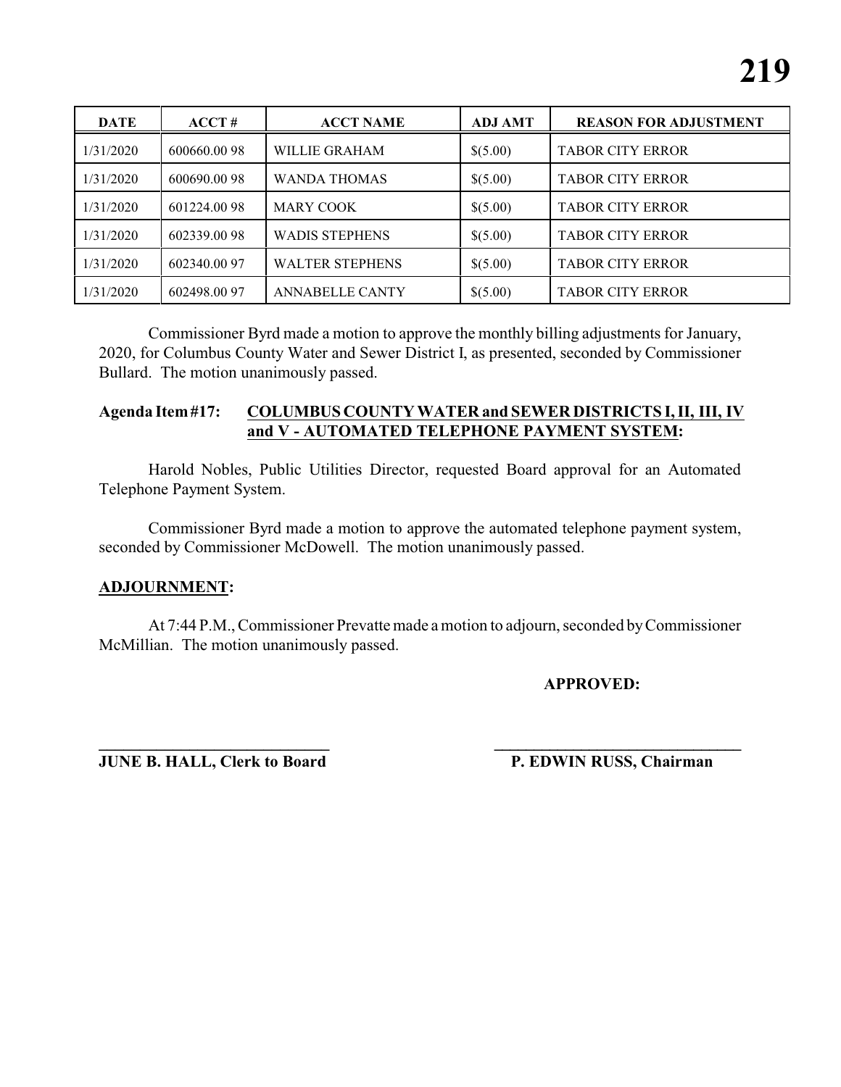| <b>DATE</b> | ACCT#        | <b>ACCT NAME</b>       | <b>ADJ AMT</b> | <b>REASON FOR ADJUSTMENT</b> |
|-------------|--------------|------------------------|----------------|------------------------------|
| 1/31/2020   | 600660.0098  | WILLIE GRAHAM          | \$(5.00)       | <b>TABOR CITY ERROR</b>      |
| 1/31/2020   | 600690.0098  | <b>WANDA THOMAS</b>    | \$(5.00)       | <b>TABOR CITY ERROR</b>      |
| 1/31/2020   | 601224.0098  | <b>MARY COOK</b>       | \$(5.00)       | <b>TABOR CITY ERROR</b>      |
| 1/31/2020   | 602339.00 98 | <b>WADIS STEPHENS</b>  | \$(5.00)       | <b>TABOR CITY ERROR</b>      |
| 1/31/2020   | 602340.00 97 | <b>WALTER STEPHENS</b> | \$(5.00)       | <b>TABOR CITY ERROR</b>      |
| 1/31/2020   | 602498.00 97 | <b>ANNABELLE CANTY</b> | \$(5.00)       | <b>TABOR CITY ERROR</b>      |

Commissioner Byrd made a motion to approve the monthly billing adjustments for January, 2020, for Columbus County Water and Sewer District I, as presented, seconded by Commissioner Bullard. The motion unanimously passed.

#### **Agenda Item#17: COLUMBUS COUNTY WATER and SEWER DISTRICTS I, II, III, IV and V - AUTOMATED TELEPHONE PAYMENT SYSTEM:**

Harold Nobles, Public Utilities Director, requested Board approval for an Automated Telephone Payment System.

Commissioner Byrd made a motion to approve the automated telephone payment system, seconded by Commissioner McDowell. The motion unanimously passed.

#### **ADJOURNMENT:**

At 7:44 P.M., Commissioner Prevatte made a motion to adjourn, seconded byCommissioner McMillian. The motion unanimously passed.

#### **APPROVED:**

**JUNE B. HALL, Clerk to Board P. EDWIN RUSS, Chairman** 

**\_\_\_\_\_\_\_\_\_\_\_\_\_\_\_\_\_\_\_\_\_\_\_\_\_\_\_\_ \_\_\_\_\_\_\_\_\_\_\_\_\_\_\_\_\_\_\_\_\_\_\_\_\_\_\_\_\_\_\_**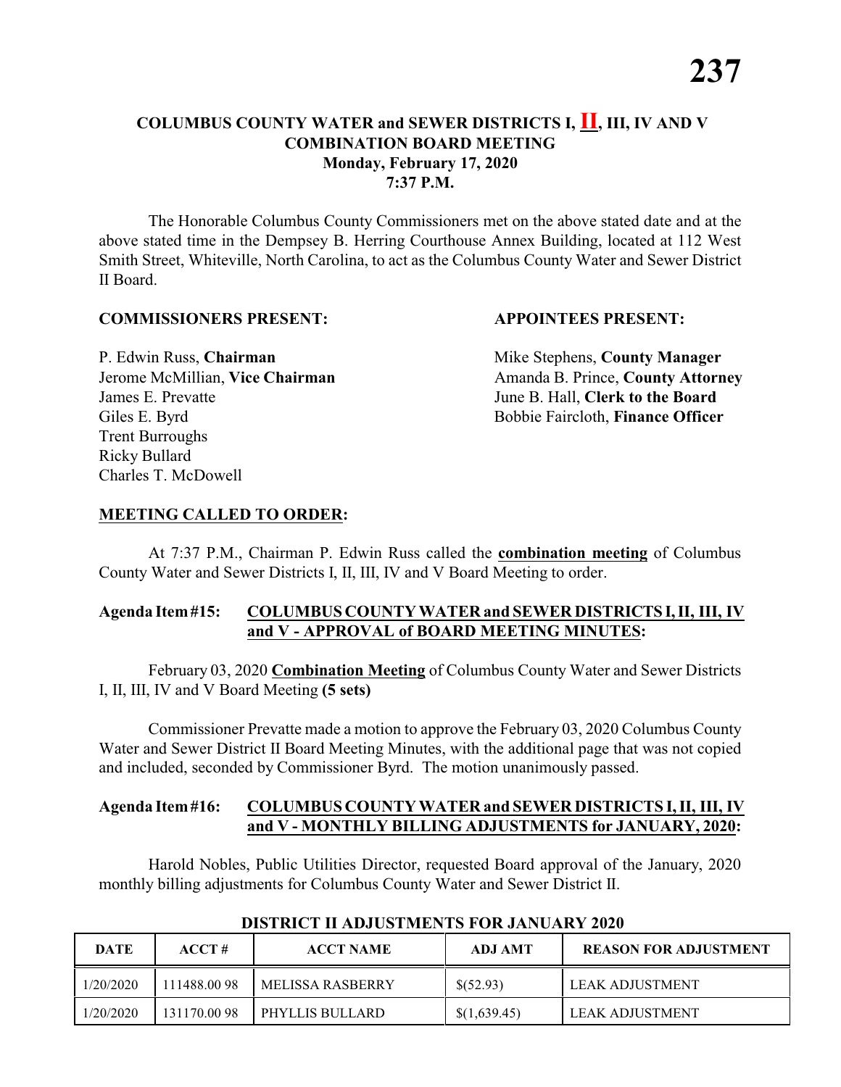#### **COLUMBUS COUNTY WATER and SEWER DISTRICTS I, II, III, IV AND V COMBINATION BOARD MEETING Monday, February 17, 2020 7:37 P.M.**

The Honorable Columbus County Commissioners met on the above stated date and at the above stated time in the Dempsey B. Herring Courthouse Annex Building, located at 112 West Smith Street, Whiteville, North Carolina, to act as the Columbus County Water and Sewer District II Board.

#### **COMMISSIONERS PRESENT: APPOINTEES PRESENT:**

P. Edwin Russ, **Chairman** Mike Stephens, **County Manager** James E. Prevatte June B. Hall, **Clerk to the Board** Giles E. Byrd **Bobbie Faircloth, Finance Officer** Trent Burroughs Ricky Bullard Charles T. McDowell

Jerome McMillian, Vice Chairman Amanda B. Prince, County Attorney

#### **MEETING CALLED TO ORDER:**

At 7:37 P.M., Chairman P. Edwin Russ called the **combination meeting** of Columbus County Water and Sewer Districts I, II, III, IV and V Board Meeting to order.

#### **Agenda Item#15: COLUMBUS COUNTY WATER and SEWER DISTRICTS I,II, III, IV and V - APPROVAL of BOARD MEETING MINUTES:**

February 03, 2020 **Combination Meeting** of Columbus County Water and Sewer Districts I, II, III, IV and V Board Meeting **(5 sets)**

Commissioner Prevatte made a motion to approve the February 03, 2020 Columbus County Water and Sewer District II Board Meeting Minutes, with the additional page that was not copied and included, seconded by Commissioner Byrd. The motion unanimously passed.

#### **Agenda Item#16: COLUMBUS COUNTY WATER and SEWER DISTRICTS I, II, III, IV and V - MONTHLY BILLING ADJUSTMENTS for JANUARY, 2020:**

Harold Nobles, Public Utilities Director, requested Board approval of the January, 2020 monthly billing adjustments for Columbus County Water and Sewer District II.

| <b>DATE</b> | ACCT#       | <b>ACCT NAME</b> | ADJ AMT      | <b>REASON FOR ADJUSTMENT</b> |
|-------------|-------------|------------------|--------------|------------------------------|
| 1/20/2020   | 111488.0098 | MELISSA RASBERRY | \$(52.93)    | LEAK ADJUSTMENT              |
| 1/20/2020   | 131170.0098 | PHYLLIS BULLARD  | \$(1,639.45) | LEAK ADJUSTMENT              |

#### **DISTRICT II ADJUSTMENTS FOR JANUARY 2020**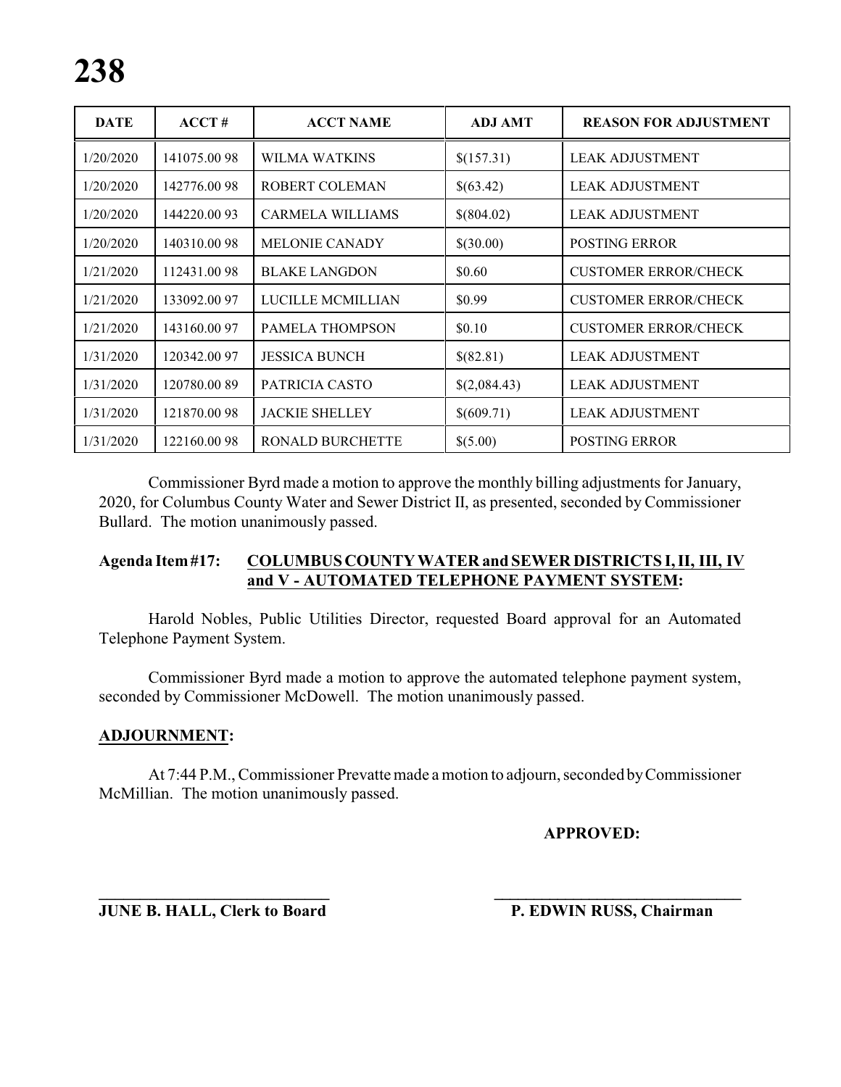| <b>DATE</b> | ACCT#        | <b>ACCT NAME</b>        | <b>ADJ AMT</b> | <b>REASON FOR ADJUSTMENT</b> |
|-------------|--------------|-------------------------|----------------|------------------------------|
| 1/20/2020   | 141075.00 98 | WILMA WATKINS           | \$(157.31)     | <b>LEAK ADJUSTMENT</b>       |
| 1/20/2020   | 142776.0098  | ROBERT COLEMAN          | \$(63.42)      | <b>LEAK ADJUSTMENT</b>       |
| 1/20/2020   | 144220.0093  | <b>CARMELA WILLIAMS</b> | \$(804.02)     | <b>LEAK ADJUSTMENT</b>       |
| 1/20/2020   | 140310.0098  | <b>MELONIE CANADY</b>   | \$(30.00)      | <b>POSTING ERROR</b>         |
| 1/21/2020   | 112431.0098  | <b>BLAKE LANGDON</b>    | \$0.60         | <b>CUSTOMER ERROR/CHECK</b>  |
| 1/21/2020   | 133092.00 97 | LUCILLE MCMILLIAN       | \$0.99         | <b>CUSTOMER ERROR/CHECK</b>  |
| 1/21/2020   | 143160.0097  | <b>PAMELA THOMPSON</b>  | \$0.10         | <b>CUSTOMER ERROR/CHECK</b>  |
| 1/31/2020   | 120342.00 97 | <b>JESSICA BUNCH</b>    | \$(82.81)      | <b>LEAK ADJUSTMENT</b>       |
| 1/31/2020   | 120780.0089  | PATRICIA CASTO          | \$(2,084.43)   | <b>LEAK ADJUSTMENT</b>       |
| 1/31/2020   | 121870.0098  | <b>JACKIE SHELLEY</b>   | \$(609.71)     | <b>LEAK ADJUSTMENT</b>       |
| 1/31/2020   | 122160.0098  | <b>RONALD BURCHETTE</b> | \$(5.00)       | <b>POSTING ERROR</b>         |

Commissioner Byrd made a motion to approve the monthly billing adjustments for January, 2020, for Columbus County Water and Sewer District II, as presented, seconded by Commissioner Bullard. The motion unanimously passed.

#### **Agenda Item#17: COLUMBUSCOUNTYWATER and SEWER DISTRICTS I, II, III, IV and V - AUTOMATED TELEPHONE PAYMENT SYSTEM:**

Harold Nobles, Public Utilities Director, requested Board approval for an Automated Telephone Payment System.

Commissioner Byrd made a motion to approve the automated telephone payment system, seconded by Commissioner McDowell. The motion unanimously passed.

#### **ADJOURNMENT:**

At 7:44 P.M., Commissioner Prevatte made a motion to adjourn, seconded byCommissioner McMillian. The motion unanimously passed.

#### **APPROVED:**

**JUNE B. HALL, Clerk to Board P. EDWIN RUSS, Chairman** 

**\_\_\_\_\_\_\_\_\_\_\_\_\_\_\_\_\_\_\_\_\_\_\_\_\_\_\_\_ \_\_\_\_\_\_\_\_\_\_\_\_\_\_\_\_\_\_\_\_\_\_\_\_\_\_\_\_\_\_\_**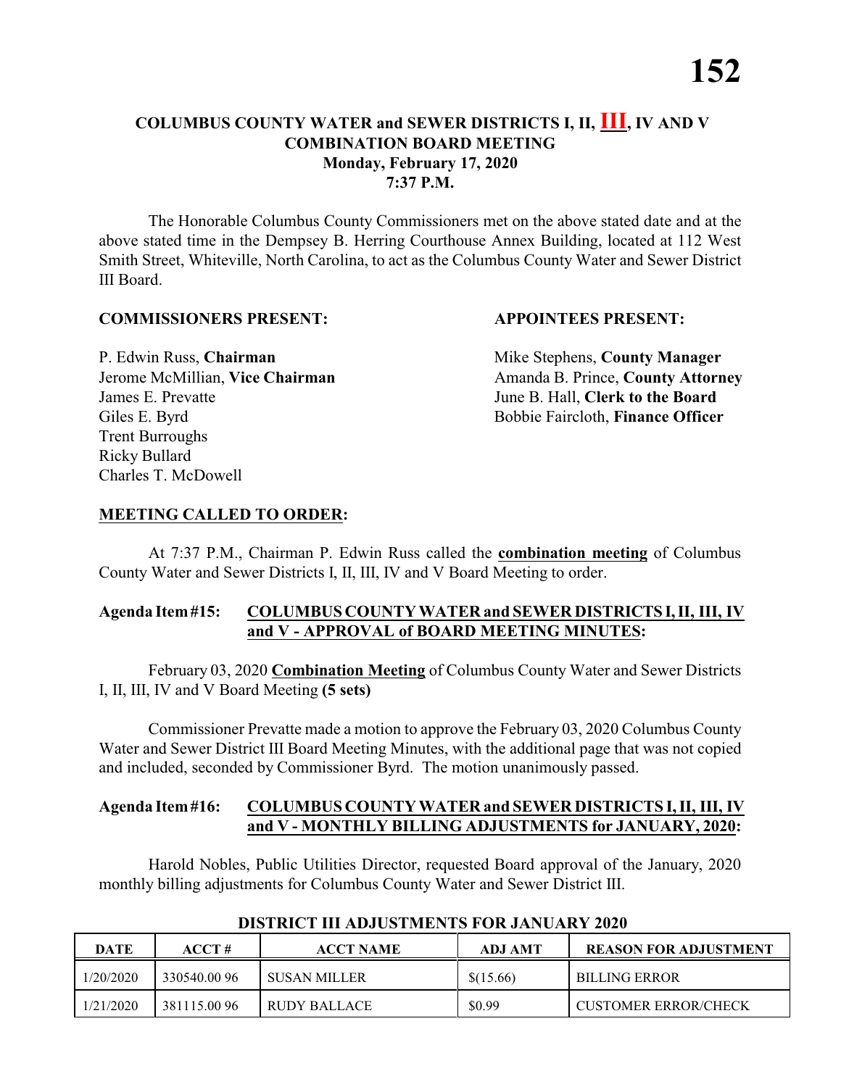#### **COLUMBUS COUNTY WATER and SEWER DISTRICTS I, II, III, IV AND V COMBINATION BOARD MEETING Monday, February 17, 2020 7:37 P.M.**

The Honorable Columbus County Commissioners met on the above stated date and at the above stated time in the Dempsey B. Herring Courthouse Annex Building, located at 112 West Smith Street, Whiteville, North Carolina, to act as the Columbus County Water and Sewer District III Board.

#### **COMMISSIONERS PRESENT: APPOINTEES PRESENT:**

P. Edwin Russ, **Chairman** Mike Stephens, **County Manager** James E. Prevatte June B. Hall, **Clerk to the Board** Giles E. Byrd **Bobbie Faircloth, Finance Officer** Trent Burroughs Ricky Bullard Charles T. McDowell

Jerome McMillian, Vice Chairman Amanda B. Prince, County Attorney

#### **MEETING CALLED TO ORDER:**

At 7:37 P.M., Chairman P. Edwin Russ called the **combination meeting** of Columbus County Water and Sewer Districts I, II, III, IV and V Board Meeting to order.

#### **Agenda Item#15: COLUMBUS COUNTY WATER and SEWER DISTRICTS I,II, III, IV and V - APPROVAL of BOARD MEETING MINUTES:**

February 03, 2020 **Combination Meeting** of Columbus County Water and Sewer Districts I, II, III, IV and V Board Meeting **(5 sets)**

Commissioner Prevatte made a motion to approve the February 03, 2020 Columbus County Water and Sewer District III Board Meeting Minutes, with the additional page that was not copied and included, seconded by Commissioner Byrd. The motion unanimously passed.

#### **Agenda Item#16: COLUMBUS COUNTY WATER and SEWER DISTRICTS I, II, III, IV and V - MONTHLY BILLING ADJUSTMENTS for JANUARY, 2020:**

Harold Nobles, Public Utilities Director, requested Board approval of the January, 2020 monthly billing adjustments for Columbus County Water and Sewer District III.

| <b>DATE</b> | ACCT#        | <b>ACCT NAME</b> | ADJ AMT   | <b>REASON FOR ADJUSTMENT</b> |
|-------------|--------------|------------------|-----------|------------------------------|
| 1/20/2020   | 330540.0096  | I SUSAN MILLER   | \$(15.66) | <b>BILLING ERROR</b>         |
| 1/21/2020   | 381115.00 96 | RUDY BALLACE     | \$0.99    | CUSTOMER ERROR/CHECK         |

#### **DISTRICT III ADJUSTMENTS FOR JANUARY 2020**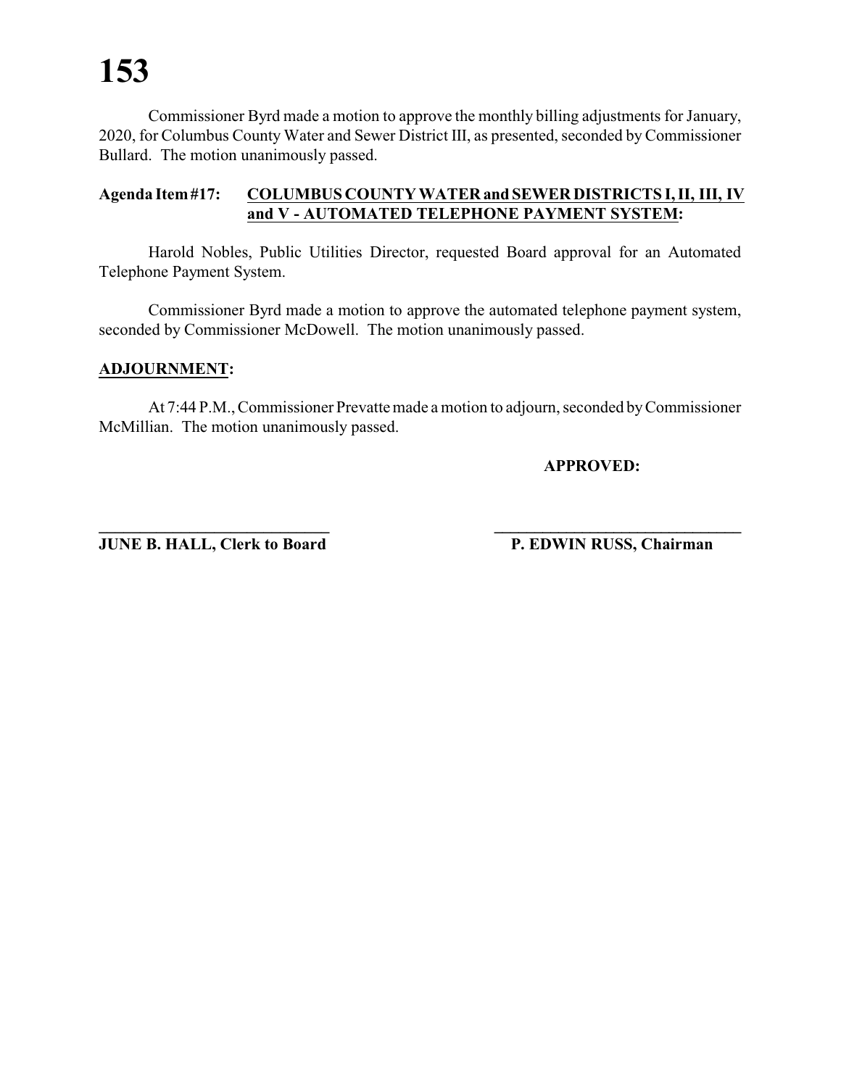Commissioner Byrd made a motion to approve the monthly billing adjustments for January, 2020, for Columbus County Water and Sewer District III, as presented, seconded by Commissioner Bullard. The motion unanimously passed.

#### **Agenda Item#17: COLUMBUS COUNTY WATERand SEWER DISTRICTS I, II, III, IV and V - AUTOMATED TELEPHONE PAYMENT SYSTEM:**

Harold Nobles, Public Utilities Director, requested Board approval for an Automated Telephone Payment System.

Commissioner Byrd made a motion to approve the automated telephone payment system, seconded by Commissioner McDowell. The motion unanimously passed.

#### **ADJOURNMENT:**

At 7:44 P.M., Commissioner Prevatte made a motion to adjourn, seconded byCommissioner McMillian. The motion unanimously passed.

**APPROVED:**

**JUNE B. HALL, Clerk to Board P. EDWIN RUSS, Chairman** 

**\_\_\_\_\_\_\_\_\_\_\_\_\_\_\_\_\_\_\_\_\_\_\_\_\_\_\_\_ \_\_\_\_\_\_\_\_\_\_\_\_\_\_\_\_\_\_\_\_\_\_\_\_\_\_\_\_\_\_\_**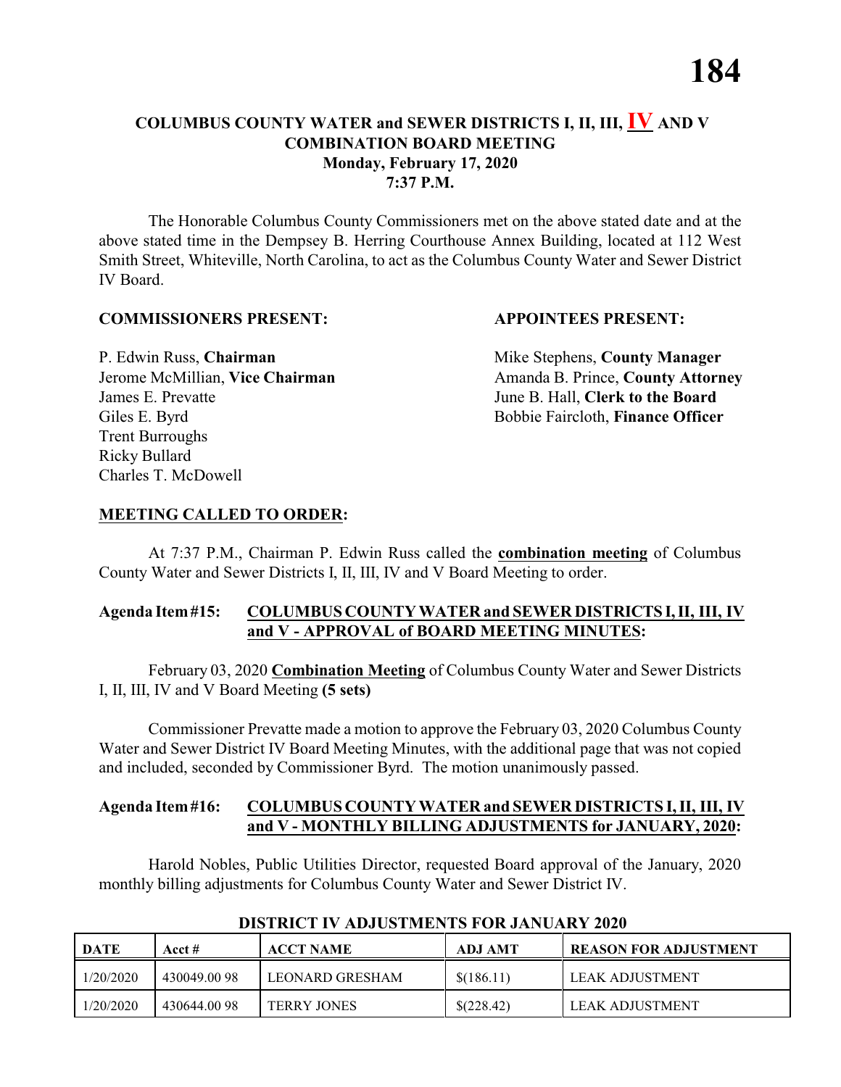#### **COLUMBUS COUNTY WATER and SEWER DISTRICTS I, II, III, IV AND V COMBINATION BOARD MEETING Monday, February 17, 2020 7:37 P.M.**

The Honorable Columbus County Commissioners met on the above stated date and at the above stated time in the Dempsey B. Herring Courthouse Annex Building, located at 112 West Smith Street, Whiteville, North Carolina, to act as the Columbus County Water and Sewer District IV Board.

#### **COMMISSIONERS PRESENT: APPOINTEES PRESENT:**

P. Edwin Russ, **Chairman** Mike Stephens, **County Manager** James E. Prevatte June B. Hall, **Clerk to the Board** Giles E. Byrd **Bobbie Faircloth, Finance Officer** Trent Burroughs Ricky Bullard Charles T. McDowell

Jerome McMillian, Vice Chairman Amanda B. Prince, County Attorney

#### **MEETING CALLED TO ORDER:**

At 7:37 P.M., Chairman P. Edwin Russ called the **combination meeting** of Columbus County Water and Sewer Districts I, II, III, IV and V Board Meeting to order.

#### **Agenda Item#15: COLUMBUS COUNTY WATER and SEWER DISTRICTS I,II, III, IV and V - APPROVAL of BOARD MEETING MINUTES:**

February 03, 2020 **Combination Meeting** of Columbus County Water and Sewer Districts I, II, III, IV and V Board Meeting **(5 sets)**

Commissioner Prevatte made a motion to approve the February 03, 2020 Columbus County Water and Sewer District IV Board Meeting Minutes, with the additional page that was not copied and included, seconded by Commissioner Byrd. The motion unanimously passed.

#### **Agenda Item#16: COLUMBUS COUNTY WATER and SEWER DISTRICTS I, II, III, IV and V - MONTHLY BILLING ADJUSTMENTS for JANUARY, 2020:**

Harold Nobles, Public Utilities Director, requested Board approval of the January, 2020 monthly billing adjustments for Columbus County Water and Sewer District IV.

| <b>DATE</b> | Acct #      | <b>ACCT NAME</b>   | ADJ AMT    | <b>FREASON FOR ADJUSTMENT</b> |
|-------------|-------------|--------------------|------------|-------------------------------|
| 1/20/2020   | 430049.0098 | LEONARD GRESHAM    | \$(186.11) | LEAK ADJUSTMENT               |
| 1/20/2020   | 430644.0098 | <b>TERRY JONES</b> | \$(228.42) | LEAK ADJUSTMENT               |

#### **DISTRICT IV ADJUSTMENTS FOR JANUARY 2020**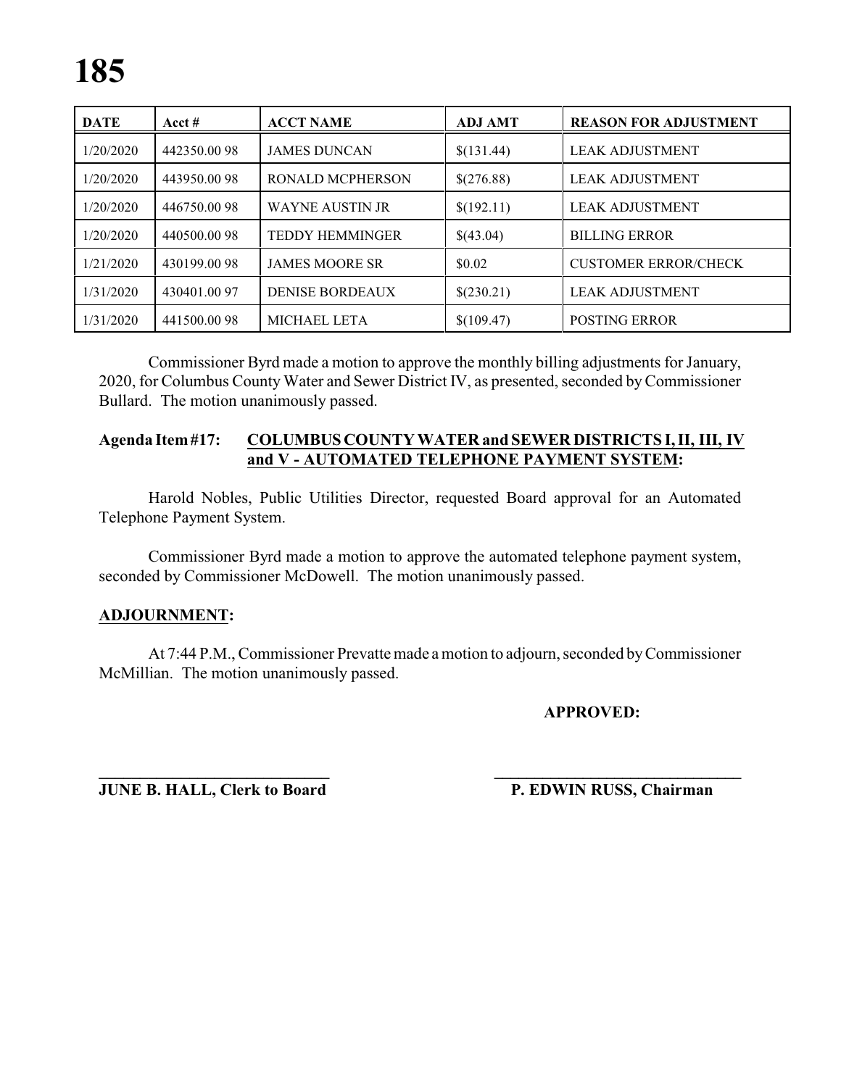| <b>DATE</b> | Acct $#$    | <b>ACCT NAME</b>        | <b>ADJ AMT</b> | <b>REASON FOR ADJUSTMENT</b> |
|-------------|-------------|-------------------------|----------------|------------------------------|
| 1/20/2020   | 442350.0098 | <b>JAMES DUNCAN</b>     | \$(131.44)     | <b>LEAK ADJUSTMENT</b>       |
| 1/20/2020   | 443950.0098 | <b>RONALD MCPHERSON</b> | \$(276.88)     | <b>LEAK ADJUSTMENT</b>       |
| 1/20/2020   | 446750.0098 | <b>WAYNE AUSTIN JR</b>  | \$(192.11)     | <b>LEAK ADJUSTMENT</b>       |
| 1/20/2020   | 440500.0098 | <b>TEDDY HEMMINGER</b>  | \$(43.04)      | <b>BILLING ERROR</b>         |
| 1/21/2020   | 430199.0098 | <b>JAMES MOORE SR</b>   | \$0.02         | <b>CUSTOMER ERROR/CHECK</b>  |
| 1/31/2020   | 430401.0097 | <b>DENISE BORDEAUX</b>  | \$(230.21)     | <b>LEAK ADJUSTMENT</b>       |
| 1/31/2020   | 441500.0098 | <b>MICHAEL LETA</b>     | \$(109.47)     | <b>POSTING ERROR</b>         |

Commissioner Byrd made a motion to approve the monthly billing adjustments for January, 2020, for Columbus County Water and Sewer District IV, as presented, seconded byCommissioner Bullard. The motion unanimously passed.

#### **Agenda Item#17: COLUMBUSCOUNTY WATER and SEWER DISTRICTS I, II, III, IV and V - AUTOMATED TELEPHONE PAYMENT SYSTEM:**

Harold Nobles, Public Utilities Director, requested Board approval for an Automated Telephone Payment System.

Commissioner Byrd made a motion to approve the automated telephone payment system, seconded by Commissioner McDowell. The motion unanimously passed.

#### **ADJOURNMENT:**

At 7:44 P.M., Commissioner Prevatte made a motion to adjourn, seconded byCommissioner McMillian. The motion unanimously passed.

**APPROVED:**

**JUNE B. HALL, Clerk to Board P. EDWIN RUSS, Chairman** 

**\_\_\_\_\_\_\_\_\_\_\_\_\_\_\_\_\_\_\_\_\_\_\_\_\_\_\_\_ \_\_\_\_\_\_\_\_\_\_\_\_\_\_\_\_\_\_\_\_\_\_\_\_\_\_\_\_\_\_\_**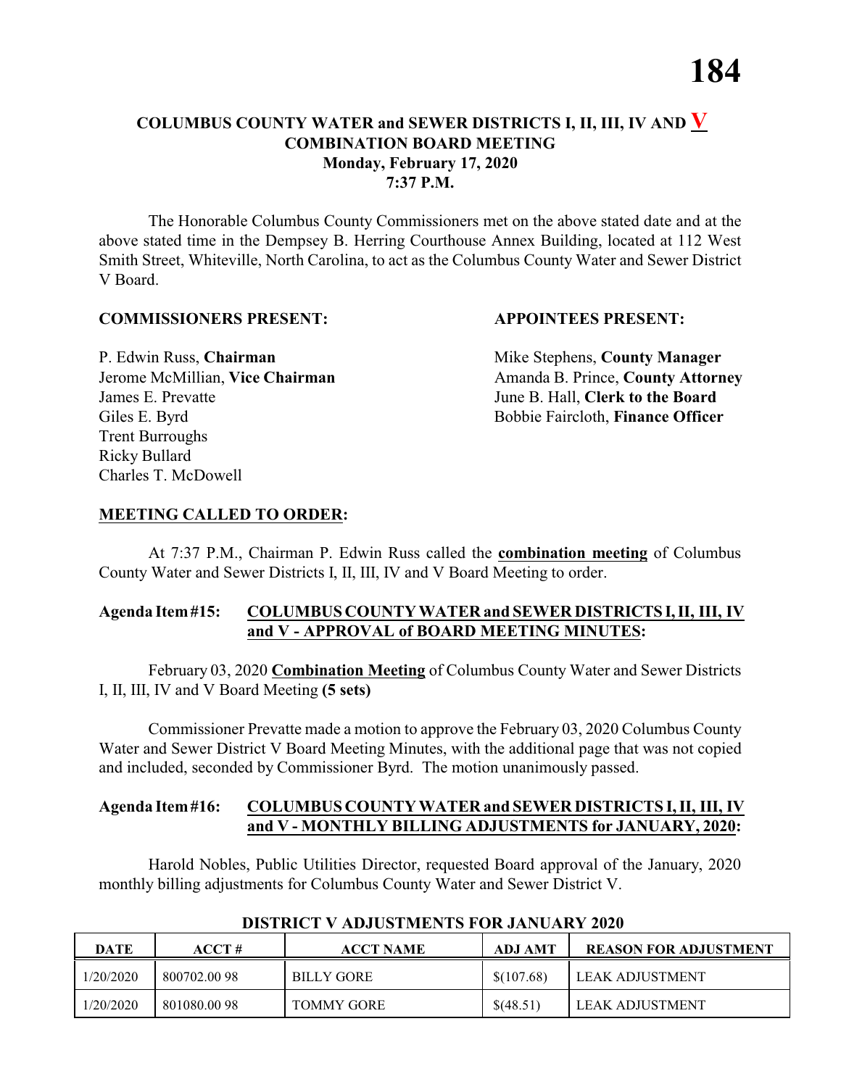#### **COLUMBUS COUNTY WATER and SEWER DISTRICTS I, II, III, IV AND V COMBINATION BOARD MEETING Monday, February 17, 2020 7:37 P.M.**

The Honorable Columbus County Commissioners met on the above stated date and at the above stated time in the Dempsey B. Herring Courthouse Annex Building, located at 112 West Smith Street, Whiteville, North Carolina, to act as the Columbus County Water and Sewer District V Board.

#### **COMMISSIONERS PRESENT: APPOINTEES PRESENT:**

P. Edwin Russ, **Chairman** Mike Stephens, **County Manager** James E. Prevatte June B. Hall, **Clerk to the Board** Giles E. Byrd **Bobbie Faircloth, Finance Officer** Trent Burroughs Ricky Bullard Charles T. McDowell

Jerome McMillian, Vice Chairman Amanda B. Prince, County Attorney

#### **MEETING CALLED TO ORDER:**

At 7:37 P.M., Chairman P. Edwin Russ called the **combination meeting** of Columbus County Water and Sewer Districts I, II, III, IV and V Board Meeting to order.

#### **Agenda Item#15: COLUMBUS COUNTY WATER and SEWER DISTRICTS I,II, III, IV and V - APPROVAL of BOARD MEETING MINUTES:**

February 03, 2020 **Combination Meeting** of Columbus County Water and Sewer Districts I, II, III, IV and V Board Meeting **(5 sets)**

Commissioner Prevatte made a motion to approve the February 03, 2020 Columbus County Water and Sewer District V Board Meeting Minutes, with the additional page that was not copied and included, seconded by Commissioner Byrd. The motion unanimously passed.

#### **Agenda Item#16: COLUMBUS COUNTY WATER and SEWER DISTRICTS I, II, III, IV and V - MONTHLY BILLING ADJUSTMENTS for JANUARY, 2020:**

Harold Nobles, Public Utilities Director, requested Board approval of the January, 2020 monthly billing adjustments for Columbus County Water and Sewer District V.

| <b>DATE</b> | $\bf ACCT#$ | <b>ACCT NAME</b>  | ADJ AMT     | <b>REASON FOR ADJUSTMENT</b> |
|-------------|-------------|-------------------|-------------|------------------------------|
| 1/20/2020   | 800702.0098 | <b>BILLY GORE</b> | \$(107.68)  | LEAK ADJUSTMENT              |
| 1/20/2020   | 801080.0098 | TOMMY GORE        | $\$(48.51)$ | LEAK ADJUSTMENT              |

#### **DISTRICT V ADJUSTMENTS FOR JANUARY 2020**